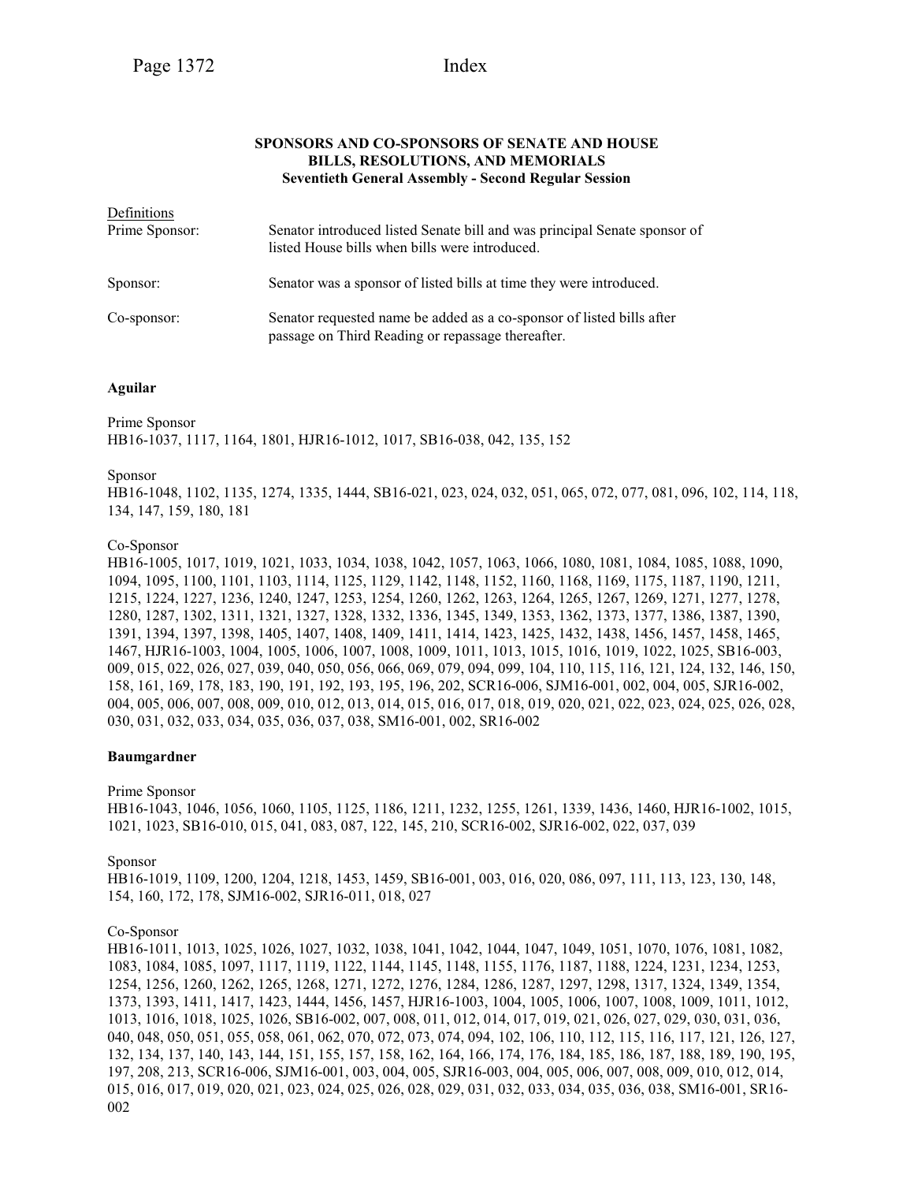## **SPONSORS AND CO-SPONSORS OF SENATE AND HOUSE BILLS, RESOLUTIONS, AND MEMORIALS Seventieth General Assembly - Second Regular Session**

| Definitions    |                                                                                                                             |
|----------------|-----------------------------------------------------------------------------------------------------------------------------|
| Prime Sponsor: | Senator introduced listed Senate bill and was principal Senate sponsor of<br>listed House bills when bills were introduced. |
| Sponsor:       | Senator was a sponsor of listed bills at time they were introduced.                                                         |
| Co-sponsor:    | Senator requested name be added as a co-sponsor of listed bills after<br>passage on Third Reading or repassage thereafter.  |

### **Aguilar**

Prime Sponsor HB16-1037, 1117, 1164, 1801, HJR16-1012, 1017, SB16-038, 042, 135, 152

Sponsor

HB16-1048, 1102, 1135, 1274, 1335, 1444, SB16-021, 023, 024, 032, 051, 065, 072, 077, 081, 096, 102, 114, 118, 134, 147, 159, 180, 181

### Co-Sponsor

HB16-1005, 1017, 1019, 1021, 1033, 1034, 1038, 1042, 1057, 1063, 1066, 1080, 1081, 1084, 1085, 1088, 1090, 1094, 1095, 1100, 1101, 1103, 1114, 1125, 1129, 1142, 1148, 1152, 1160, 1168, 1169, 1175, 1187, 1190, 1211, 1215, 1224, 1227, 1236, 1240, 1247, 1253, 1254, 1260, 1262, 1263, 1264, 1265, 1267, 1269, 1271, 1277, 1278, 1280, 1287, 1302, 1311, 1321, 1327, 1328, 1332, 1336, 1345, 1349, 1353, 1362, 1373, 1377, 1386, 1387, 1390, 1391, 1394, 1397, 1398, 1405, 1407, 1408, 1409, 1411, 1414, 1423, 1425, 1432, 1438, 1456, 1457, 1458, 1465, 1467, HJR16-1003, 1004, 1005, 1006, 1007, 1008, 1009, 1011, 1013, 1015, 1016, 1019, 1022, 1025, SB16-003, 009, 015, 022, 026, 027, 039, 040, 050, 056, 066, 069, 079, 094, 099, 104, 110, 115, 116, 121, 124, 132, 146, 150, 158, 161, 169, 178, 183, 190, 191, 192, 193, 195, 196, 202, SCR16-006, SJM16-001, 002, 004, 005, SJR16-002, 004, 005, 006, 007, 008, 009, 010, 012, 013, 014, 015, 016, 017, 018, 019, 020, 021, 022, 023, 024, 025, 026, 028, 030, 031, 032, 033, 034, 035, 036, 037, 038, SM16-001, 002, SR16-002

#### **Baumgardner**

Prime Sponsor

HB16-1043, 1046, 1056, 1060, 1105, 1125, 1186, 1211, 1232, 1255, 1261, 1339, 1436, 1460, HJR16-1002, 1015, 1021, 1023, SB16-010, 015, 041, 083, 087, 122, 145, 210, SCR16-002, SJR16-002, 022, 037, 039

Sponsor

HB16-1019, 1109, 1200, 1204, 1218, 1453, 1459, SB16-001, 003, 016, 020, 086, 097, 111, 113, 123, 130, 148, 154, 160, 172, 178, SJM16-002, SJR16-011, 018, 027

## Co-Sponsor

HB16-1011, 1013, 1025, 1026, 1027, 1032, 1038, 1041, 1042, 1044, 1047, 1049, 1051, 1070, 1076, 1081, 1082, 1083, 1084, 1085, 1097, 1117, 1119, 1122, 1144, 1145, 1148, 1155, 1176, 1187, 1188, 1224, 1231, 1234, 1253, 1254, 1256, 1260, 1262, 1265, 1268, 1271, 1272, 1276, 1284, 1286, 1287, 1297, 1298, 1317, 1324, 1349, 1354, 1373, 1393, 1411, 1417, 1423, 1444, 1456, 1457, HJR16-1003, 1004, 1005, 1006, 1007, 1008, 1009, 1011, 1012, 1013, 1016, 1018, 1025, 1026, SB16-002, 007, 008, 011, 012, 014, 017, 019, 021, 026, 027, 029, 030, 031, 036, 040, 048, 050, 051, 055, 058, 061, 062, 070, 072, 073, 074, 094, 102, 106, 110, 112, 115, 116, 117, 121, 126, 127, 132, 134, 137, 140, 143, 144, 151, 155, 157, 158, 162, 164, 166, 174, 176, 184, 185, 186, 187, 188, 189, 190, 195, 197, 208, 213, SCR16-006, SJM16-001, 003, 004, 005, SJR16-003, 004, 005, 006, 007, 008, 009, 010, 012, 014, 015, 016, 017, 019, 020, 021, 023, 024, 025, 026, 028, 029, 031, 032, 033, 034, 035, 036, 038, SM16-001, SR16- 002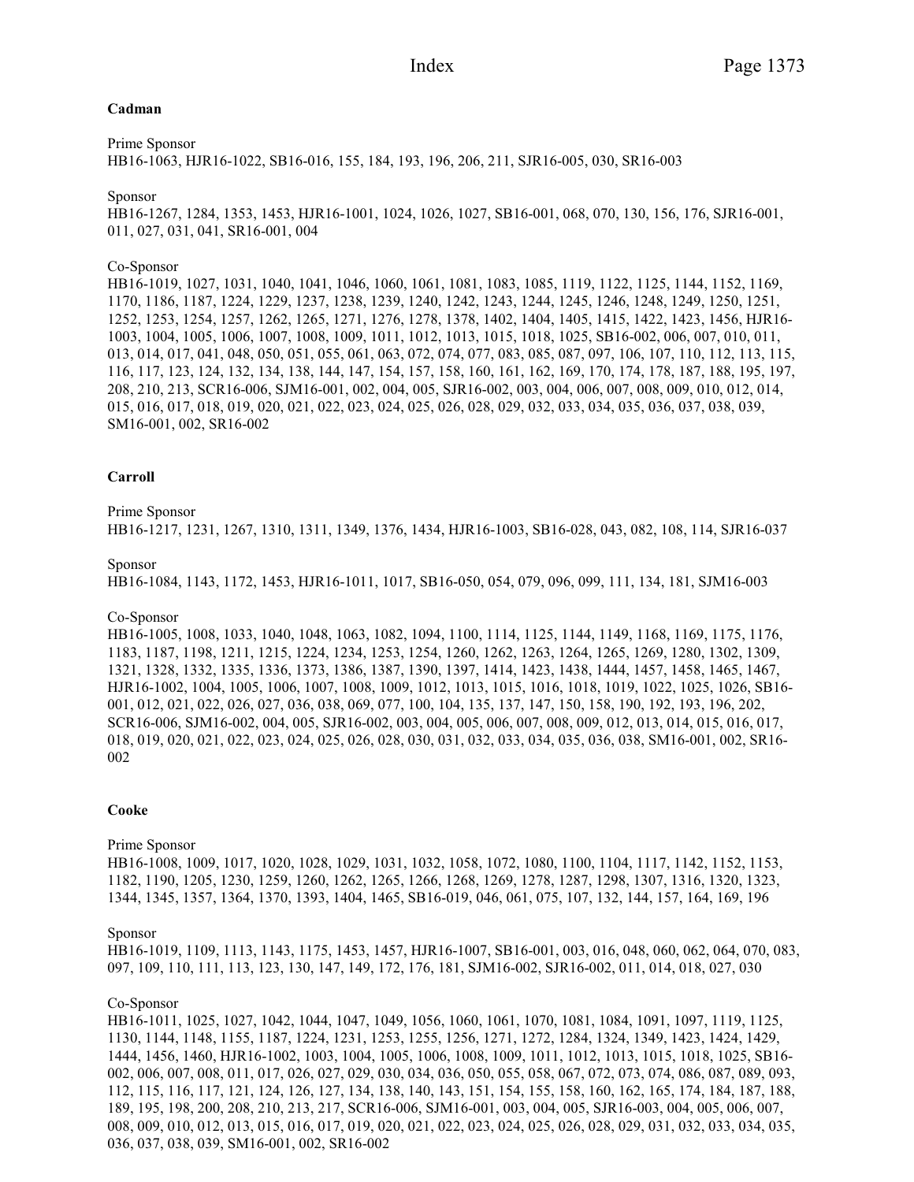### **Cadman**

Prime Sponsor HB16-1063, HJR16-1022, SB16-016, 155, 184, 193, 196, 206, 211, SJR16-005, 030, SR16-003

## Sponsor

HB16-1267, 1284, 1353, 1453, HJR16-1001, 1024, 1026, 1027, SB16-001, 068, 070, 130, 156, 176, SJR16-001, 011, 027, 031, 041, SR16-001, 004

### Co-Sponsor

HB16-1019, 1027, 1031, 1040, 1041, 1046, 1060, 1061, 1081, 1083, 1085, 1119, 1122, 1125, 1144, 1152, 1169, 1170, 1186, 1187, 1224, 1229, 1237, 1238, 1239, 1240, 1242, 1243, 1244, 1245, 1246, 1248, 1249, 1250, 1251, 1252, 1253, 1254, 1257, 1262, 1265, 1271, 1276, 1278, 1378, 1402, 1404, 1405, 1415, 1422, 1423, 1456, HJR16- 1003, 1004, 1005, 1006, 1007, 1008, 1009, 1011, 1012, 1013, 1015, 1018, 1025, SB16-002, 006, 007, 010, 011, 013, 014, 017, 041, 048, 050, 051, 055, 061, 063, 072, 074, 077, 083, 085, 087, 097, 106, 107, 110, 112, 113, 115, 116, 117, 123, 124, 132, 134, 138, 144, 147, 154, 157, 158, 160, 161, 162, 169, 170, 174, 178, 187, 188, 195, 197, 208, 210, 213, SCR16-006, SJM16-001, 002, 004, 005, SJR16-002, 003, 004, 006, 007, 008, 009, 010, 012, 014, 015, 016, 017, 018, 019, 020, 021, 022, 023, 024, 025, 026, 028, 029, 032, 033, 034, 035, 036, 037, 038, 039, SM16-001, 002, SR16-002

### **Carroll**

### Prime Sponsor

HB16-1217, 1231, 1267, 1310, 1311, 1349, 1376, 1434, HJR16-1003, SB16-028, 043, 082, 108, 114, SJR16-037

### Sponsor

HB16-1084, 1143, 1172, 1453, HJR16-1011, 1017, SB16-050, 054, 079, 096, 099, 111, 134, 181, SJM16-003

#### Co-Sponsor

HB16-1005, 1008, 1033, 1040, 1048, 1063, 1082, 1094, 1100, 1114, 1125, 1144, 1149, 1168, 1169, 1175, 1176, 1183, 1187, 1198, 1211, 1215, 1224, 1234, 1253, 1254, 1260, 1262, 1263, 1264, 1265, 1269, 1280, 1302, 1309, 1321, 1328, 1332, 1335, 1336, 1373, 1386, 1387, 1390, 1397, 1414, 1423, 1438, 1444, 1457, 1458, 1465, 1467, HJR16-1002, 1004, 1005, 1006, 1007, 1008, 1009, 1012, 1013, 1015, 1016, 1018, 1019, 1022, 1025, 1026, SB16- 001, 012, 021, 022, 026, 027, 036, 038, 069, 077, 100, 104, 135, 137, 147, 150, 158, 190, 192, 193, 196, 202, SCR16-006, SJM16-002, 004, 005, SJR16-002, 003, 004, 005, 006, 007, 008, 009, 012, 013, 014, 015, 016, 017, 018, 019, 020, 021, 022, 023, 024, 025, 026, 028, 030, 031, 032, 033, 034, 035, 036, 038, SM16-001, 002, SR16- 002

#### **Cooke**

#### Prime Sponsor

HB16-1008, 1009, 1017, 1020, 1028, 1029, 1031, 1032, 1058, 1072, 1080, 1100, 1104, 1117, 1142, 1152, 1153, 1182, 1190, 1205, 1230, 1259, 1260, 1262, 1265, 1266, 1268, 1269, 1278, 1287, 1298, 1307, 1316, 1320, 1323, 1344, 1345, 1357, 1364, 1370, 1393, 1404, 1465, SB16-019, 046, 061, 075, 107, 132, 144, 157, 164, 169, 196

### Sponsor

HB16-1019, 1109, 1113, 1143, 1175, 1453, 1457, HJR16-1007, SB16-001, 003, 016, 048, 060, 062, 064, 070, 083, 097, 109, 110, 111, 113, 123, 130, 147, 149, 172, 176, 181, SJM16-002, SJR16-002, 011, 014, 018, 027, 030

#### Co-Sponsor

HB16-1011, 1025, 1027, 1042, 1044, 1047, 1049, 1056, 1060, 1061, 1070, 1081, 1084, 1091, 1097, 1119, 1125, 1130, 1144, 1148, 1155, 1187, 1224, 1231, 1253, 1255, 1256, 1271, 1272, 1284, 1324, 1349, 1423, 1424, 1429, 1444, 1456, 1460, HJR16-1002, 1003, 1004, 1005, 1006, 1008, 1009, 1011, 1012, 1013, 1015, 1018, 1025, SB16- 002, 006, 007, 008, 011, 017, 026, 027, 029, 030, 034, 036, 050, 055, 058, 067, 072, 073, 074, 086, 087, 089, 093, 112, 115, 116, 117, 121, 124, 126, 127, 134, 138, 140, 143, 151, 154, 155, 158, 160, 162, 165, 174, 184, 187, 188, 189, 195, 198, 200, 208, 210, 213, 217, SCR16-006, SJM16-001, 003, 004, 005, SJR16-003, 004, 005, 006, 007, 008, 009, 010, 012, 013, 015, 016, 017, 019, 020, 021, 022, 023, 024, 025, 026, 028, 029, 031, 032, 033, 034, 035, 036, 037, 038, 039, SM16-001, 002, SR16-002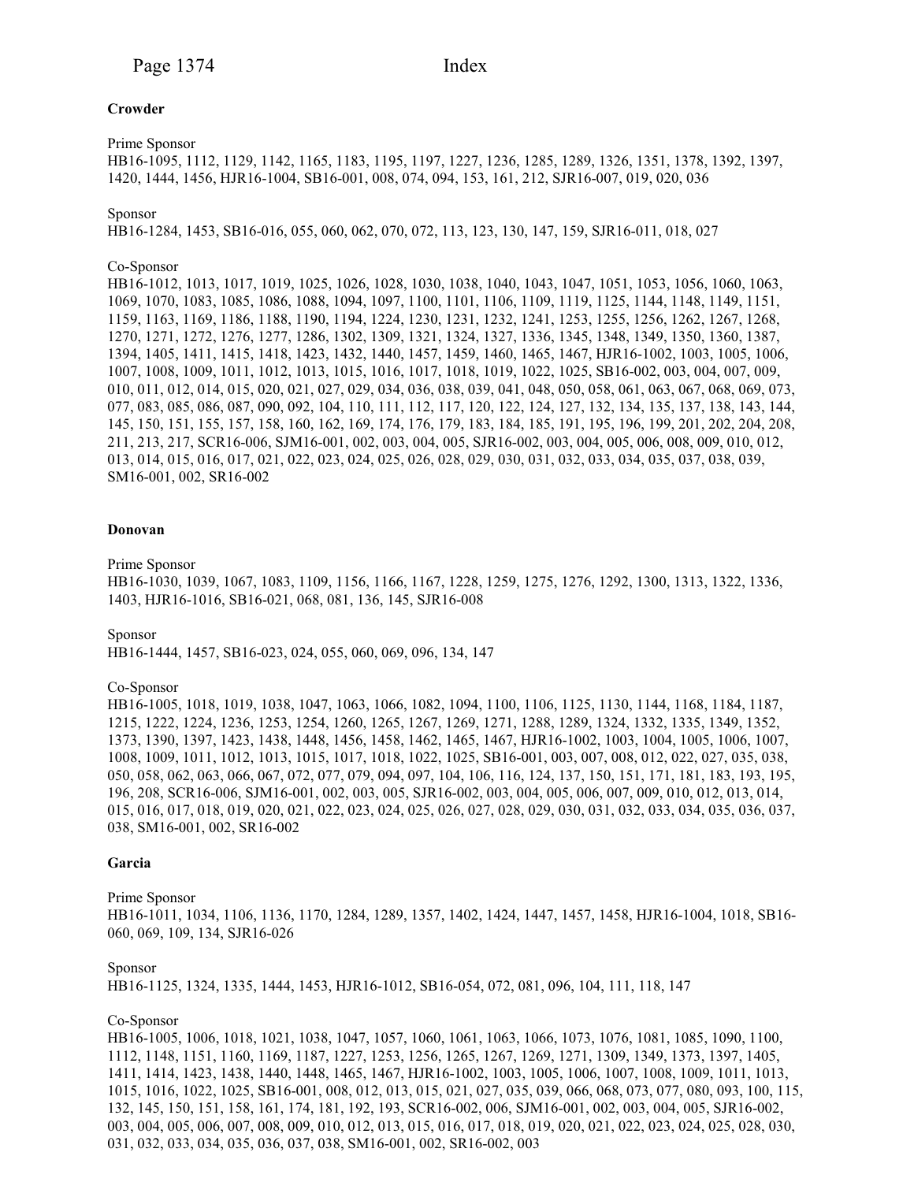## **Crowder**

Prime Sponsor

HB16-1095, 1112, 1129, 1142, 1165, 1183, 1195, 1197, 1227, 1236, 1285, 1289, 1326, 1351, 1378, 1392, 1397, 1420, 1444, 1456, HJR16-1004, SB16-001, 008, 074, 094, 153, 161, 212, SJR16-007, 019, 020, 036

### Sponsor

HB16-1284, 1453, SB16-016, 055, 060, 062, 070, 072, 113, 123, 130, 147, 159, SJR16-011, 018, 027

#### Co-Sponsor

HB16-1012, 1013, 1017, 1019, 1025, 1026, 1028, 1030, 1038, 1040, 1043, 1047, 1051, 1053, 1056, 1060, 1063, 1069, 1070, 1083, 1085, 1086, 1088, 1094, 1097, 1100, 1101, 1106, 1109, 1119, 1125, 1144, 1148, 1149, 1151, 1159, 1163, 1169, 1186, 1188, 1190, 1194, 1224, 1230, 1231, 1232, 1241, 1253, 1255, 1256, 1262, 1267, 1268, 1270, 1271, 1272, 1276, 1277, 1286, 1302, 1309, 1321, 1324, 1327, 1336, 1345, 1348, 1349, 1350, 1360, 1387, 1394, 1405, 1411, 1415, 1418, 1423, 1432, 1440, 1457, 1459, 1460, 1465, 1467, HJR16-1002, 1003, 1005, 1006, 1007, 1008, 1009, 1011, 1012, 1013, 1015, 1016, 1017, 1018, 1019, 1022, 1025, SB16-002, 003, 004, 007, 009, 010, 011, 012, 014, 015, 020, 021, 027, 029, 034, 036, 038, 039, 041, 048, 050, 058, 061, 063, 067, 068, 069, 073, 077, 083, 085, 086, 087, 090, 092, 104, 110, 111, 112, 117, 120, 122, 124, 127, 132, 134, 135, 137, 138, 143, 144, 145, 150, 151, 155, 157, 158, 160, 162, 169, 174, 176, 179, 183, 184, 185, 191, 195, 196, 199, 201, 202, 204, 208, 211, 213, 217, SCR16-006, SJM16-001, 002, 003, 004, 005, SJR16-002, 003, 004, 005, 006, 008, 009, 010, 012, 013, 014, 015, 016, 017, 021, 022, 023, 024, 025, 026, 028, 029, 030, 031, 032, 033, 034, 035, 037, 038, 039, SM16-001, 002, SR16-002

### **Donovan**

Prime Sponsor HB16-1030, 1039, 1067, 1083, 1109, 1156, 1166, 1167, 1228, 1259, 1275, 1276, 1292, 1300, 1313, 1322, 1336, 1403, HJR16-1016, SB16-021, 068, 081, 136, 145, SJR16-008

Sponsor

HB16-1444, 1457, SB16-023, 024, 055, 060, 069, 096, 134, 147

#### Co-Sponsor

HB16-1005, 1018, 1019, 1038, 1047, 1063, 1066, 1082, 1094, 1100, 1106, 1125, 1130, 1144, 1168, 1184, 1187, 1215, 1222, 1224, 1236, 1253, 1254, 1260, 1265, 1267, 1269, 1271, 1288, 1289, 1324, 1332, 1335, 1349, 1352, 1373, 1390, 1397, 1423, 1438, 1448, 1456, 1458, 1462, 1465, 1467, HJR16-1002, 1003, 1004, 1005, 1006, 1007, 1008, 1009, 1011, 1012, 1013, 1015, 1017, 1018, 1022, 1025, SB16-001, 003, 007, 008, 012, 022, 027, 035, 038, 050, 058, 062, 063, 066, 067, 072, 077, 079, 094, 097, 104, 106, 116, 124, 137, 150, 151, 171, 181, 183, 193, 195, 196, 208, SCR16-006, SJM16-001, 002, 003, 005, SJR16-002, 003, 004, 005, 006, 007, 009, 010, 012, 013, 014, 015, 016, 017, 018, 019, 020, 021, 022, 023, 024, 025, 026, 027, 028, 029, 030, 031, 032, 033, 034, 035, 036, 037, 038, SM16-001, 002, SR16-002

#### **Garcia**

Prime Sponsor HB16-1011, 1034, 1106, 1136, 1170, 1284, 1289, 1357, 1402, 1424, 1447, 1457, 1458, HJR16-1004, 1018, SB16- 060, 069, 109, 134, SJR16-026

## Sponsor

HB16-1125, 1324, 1335, 1444, 1453, HJR16-1012, SB16-054, 072, 081, 096, 104, 111, 118, 147

## Co-Sponsor

HB16-1005, 1006, 1018, 1021, 1038, 1047, 1057, 1060, 1061, 1063, 1066, 1073, 1076, 1081, 1085, 1090, 1100, 1112, 1148, 1151, 1160, 1169, 1187, 1227, 1253, 1256, 1265, 1267, 1269, 1271, 1309, 1349, 1373, 1397, 1405, 1411, 1414, 1423, 1438, 1440, 1448, 1465, 1467, HJR16-1002, 1003, 1005, 1006, 1007, 1008, 1009, 1011, 1013, 1015, 1016, 1022, 1025, SB16-001, 008, 012, 013, 015, 021, 027, 035, 039, 066, 068, 073, 077, 080, 093, 100, 115, 132, 145, 150, 151, 158, 161, 174, 181, 192, 193, SCR16-002, 006, SJM16-001, 002, 003, 004, 005, SJR16-002, 003, 004, 005, 006, 007, 008, 009, 010, 012, 013, 015, 016, 017, 018, 019, 020, 021, 022, 023, 024, 025, 028, 030, 031, 032, 033, 034, 035, 036, 037, 038, SM16-001, 002, SR16-002, 003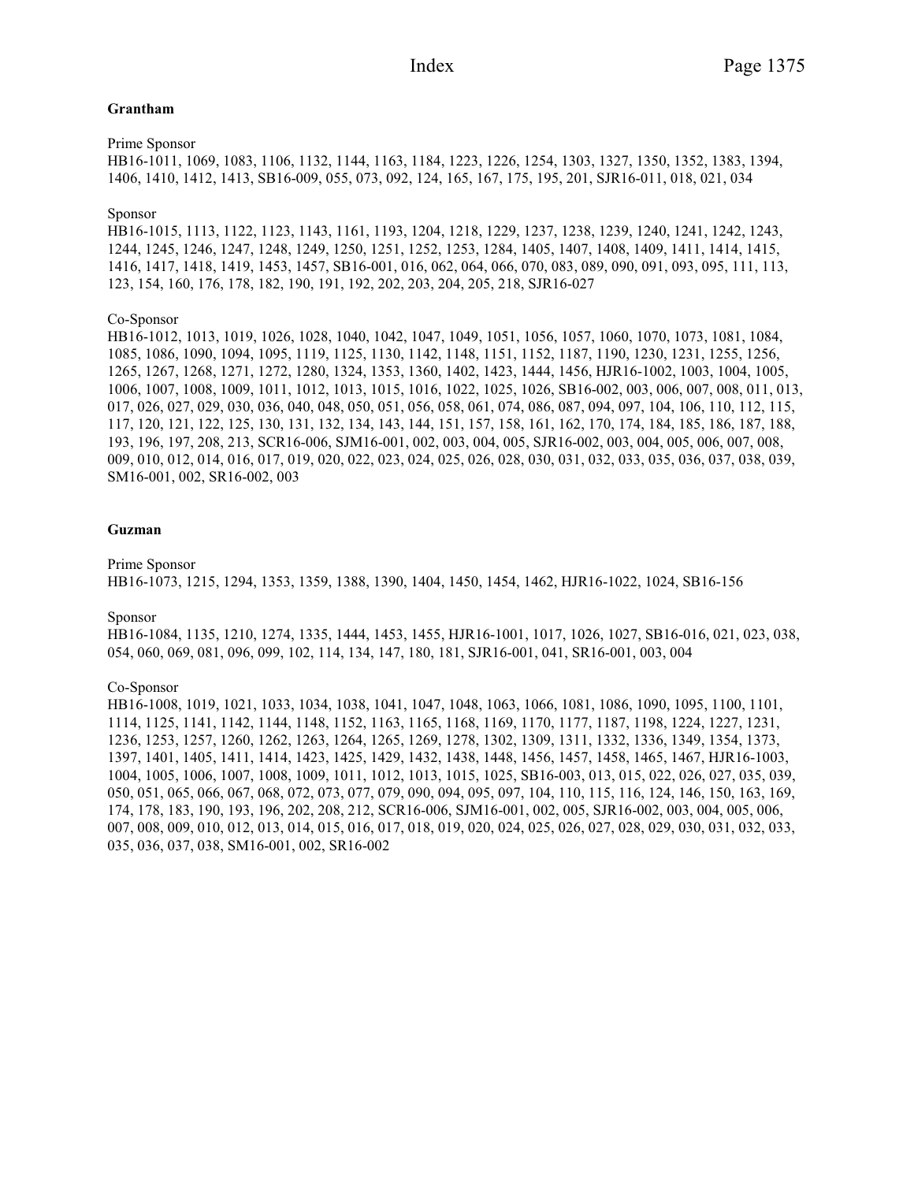### **Grantham**

#### Prime Sponsor

HB16-1011, 1069, 1083, 1106, 1132, 1144, 1163, 1184, 1223, 1226, 1254, 1303, 1327, 1350, 1352, 1383, 1394, 1406, 1410, 1412, 1413, SB16-009, 055, 073, 092, 124, 165, 167, 175, 195, 201, SJR16-011, 018, 021, 034

### Sponsor

HB16-1015, 1113, 1122, 1123, 1143, 1161, 1193, 1204, 1218, 1229, 1237, 1238, 1239, 1240, 1241, 1242, 1243, 1244, 1245, 1246, 1247, 1248, 1249, 1250, 1251, 1252, 1253, 1284, 1405, 1407, 1408, 1409, 1411, 1414, 1415, 1416, 1417, 1418, 1419, 1453, 1457, SB16-001, 016, 062, 064, 066, 070, 083, 089, 090, 091, 093, 095, 111, 113, 123, 154, 160, 176, 178, 182, 190, 191, 192, 202, 203, 204, 205, 218, SJR16-027

## Co-Sponsor

HB16-1012, 1013, 1019, 1026, 1028, 1040, 1042, 1047, 1049, 1051, 1056, 1057, 1060, 1070, 1073, 1081, 1084, 1085, 1086, 1090, 1094, 1095, 1119, 1125, 1130, 1142, 1148, 1151, 1152, 1187, 1190, 1230, 1231, 1255, 1256, 1265, 1267, 1268, 1271, 1272, 1280, 1324, 1353, 1360, 1402, 1423, 1444, 1456, HJR16-1002, 1003, 1004, 1005, 1006, 1007, 1008, 1009, 1011, 1012, 1013, 1015, 1016, 1022, 1025, 1026, SB16-002, 003, 006, 007, 008, 011, 013, 017, 026, 027, 029, 030, 036, 040, 048, 050, 051, 056, 058, 061, 074, 086, 087, 094, 097, 104, 106, 110, 112, 115, 117, 120, 121, 122, 125, 130, 131, 132, 134, 143, 144, 151, 157, 158, 161, 162, 170, 174, 184, 185, 186, 187, 188, 193, 196, 197, 208, 213, SCR16-006, SJM16-001, 002, 003, 004, 005, SJR16-002, 003, 004, 005, 006, 007, 008, 009, 010, 012, 014, 016, 017, 019, 020, 022, 023, 024, 025, 026, 028, 030, 031, 032, 033, 035, 036, 037, 038, 039, SM16-001, 002, SR16-002, 003

### **Guzman**

#### Prime Sponsor

HB16-1073, 1215, 1294, 1353, 1359, 1388, 1390, 1404, 1450, 1454, 1462, HJR16-1022, 1024, SB16-156

#### Sponsor

HB16-1084, 1135, 1210, 1274, 1335, 1444, 1453, 1455, HJR16-1001, 1017, 1026, 1027, SB16-016, 021, 023, 038, 054, 060, 069, 081, 096, 099, 102, 114, 134, 147, 180, 181, SJR16-001, 041, SR16-001, 003, 004

#### Co-Sponsor

HB16-1008, 1019, 1021, 1033, 1034, 1038, 1041, 1047, 1048, 1063, 1066, 1081, 1086, 1090, 1095, 1100, 1101, 1114, 1125, 1141, 1142, 1144, 1148, 1152, 1163, 1165, 1168, 1169, 1170, 1177, 1187, 1198, 1224, 1227, 1231, 1236, 1253, 1257, 1260, 1262, 1263, 1264, 1265, 1269, 1278, 1302, 1309, 1311, 1332, 1336, 1349, 1354, 1373, 1397, 1401, 1405, 1411, 1414, 1423, 1425, 1429, 1432, 1438, 1448, 1456, 1457, 1458, 1465, 1467, HJR16-1003, 1004, 1005, 1006, 1007, 1008, 1009, 1011, 1012, 1013, 1015, 1025, SB16-003, 013, 015, 022, 026, 027, 035, 039, 050, 051, 065, 066, 067, 068, 072, 073, 077, 079, 090, 094, 095, 097, 104, 110, 115, 116, 124, 146, 150, 163, 169, 174, 178, 183, 190, 193, 196, 202, 208, 212, SCR16-006, SJM16-001, 002, 005, SJR16-002, 003, 004, 005, 006, 007, 008, 009, 010, 012, 013, 014, 015, 016, 017, 018, 019, 020, 024, 025, 026, 027, 028, 029, 030, 031, 032, 033, 035, 036, 037, 038, SM16-001, 002, SR16-002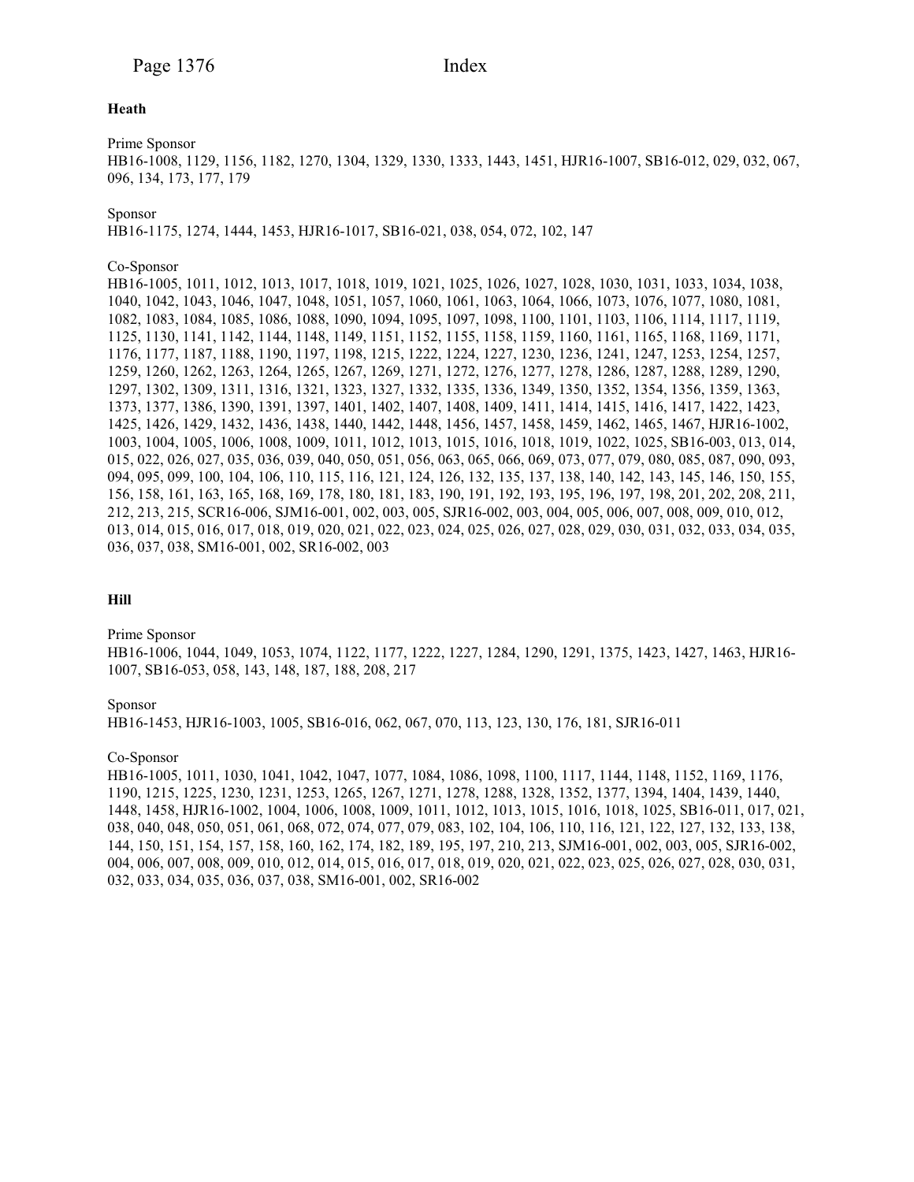## **Heath**

Prime Sponsor HB16-1008, 1129, 1156, 1182, 1270, 1304, 1329, 1330, 1333, 1443, 1451, HJR16-1007, SB16-012, 029, 032, 067, 096, 134, 173, 177, 179

Sponsor

HB16-1175, 1274, 1444, 1453, HJR16-1017, SB16-021, 038, 054, 072, 102, 147

## Co-Sponsor

HB16-1005, 1011, 1012, 1013, 1017, 1018, 1019, 1021, 1025, 1026, 1027, 1028, 1030, 1031, 1033, 1034, 1038, 1040, 1042, 1043, 1046, 1047, 1048, 1051, 1057, 1060, 1061, 1063, 1064, 1066, 1073, 1076, 1077, 1080, 1081, 1082, 1083, 1084, 1085, 1086, 1088, 1090, 1094, 1095, 1097, 1098, 1100, 1101, 1103, 1106, 1114, 1117, 1119, 1125, 1130, 1141, 1142, 1144, 1148, 1149, 1151, 1152, 1155, 1158, 1159, 1160, 1161, 1165, 1168, 1169, 1171, 1176, 1177, 1187, 1188, 1190, 1197, 1198, 1215, 1222, 1224, 1227, 1230, 1236, 1241, 1247, 1253, 1254, 1257, 1259, 1260, 1262, 1263, 1264, 1265, 1267, 1269, 1271, 1272, 1276, 1277, 1278, 1286, 1287, 1288, 1289, 1290, 1297, 1302, 1309, 1311, 1316, 1321, 1323, 1327, 1332, 1335, 1336, 1349, 1350, 1352, 1354, 1356, 1359, 1363, 1373, 1377, 1386, 1390, 1391, 1397, 1401, 1402, 1407, 1408, 1409, 1411, 1414, 1415, 1416, 1417, 1422, 1423, 1425, 1426, 1429, 1432, 1436, 1438, 1440, 1442, 1448, 1456, 1457, 1458, 1459, 1462, 1465, 1467, HJR16-1002, 1003, 1004, 1005, 1006, 1008, 1009, 1011, 1012, 1013, 1015, 1016, 1018, 1019, 1022, 1025, SB16-003, 013, 014, 015, 022, 026, 027, 035, 036, 039, 040, 050, 051, 056, 063, 065, 066, 069, 073, 077, 079, 080, 085, 087, 090, 093, 094, 095, 099, 100, 104, 106, 110, 115, 116, 121, 124, 126, 132, 135, 137, 138, 140, 142, 143, 145, 146, 150, 155, 156, 158, 161, 163, 165, 168, 169, 178, 180, 181, 183, 190, 191, 192, 193, 195, 196, 197, 198, 201, 202, 208, 211, 212, 213, 215, SCR16-006, SJM16-001, 002, 003, 005, SJR16-002, 003, 004, 005, 006, 007, 008, 009, 010, 012, 013, 014, 015, 016, 017, 018, 019, 020, 021, 022, 023, 024, 025, 026, 027, 028, 029, 030, 031, 032, 033, 034, 035, 036, 037, 038, SM16-001, 002, SR16-002, 003

## **Hill**

Prime Sponsor

HB16-1006, 1044, 1049, 1053, 1074, 1122, 1177, 1222, 1227, 1284, 1290, 1291, 1375, 1423, 1427, 1463, HJR16- 1007, SB16-053, 058, 143, 148, 187, 188, 208, 217

Sponsor

HB16-1453, HJR16-1003, 1005, SB16-016, 062, 067, 070, 113, 123, 130, 176, 181, SJR16-011

Co-Sponsor

HB16-1005, 1011, 1030, 1041, 1042, 1047, 1077, 1084, 1086, 1098, 1100, 1117, 1144, 1148, 1152, 1169, 1176, 1190, 1215, 1225, 1230, 1231, 1253, 1265, 1267, 1271, 1278, 1288, 1328, 1352, 1377, 1394, 1404, 1439, 1440, 1448, 1458, HJR16-1002, 1004, 1006, 1008, 1009, 1011, 1012, 1013, 1015, 1016, 1018, 1025, SB16-011, 017, 021, 038, 040, 048, 050, 051, 061, 068, 072, 074, 077, 079, 083, 102, 104, 106, 110, 116, 121, 122, 127, 132, 133, 138, 144, 150, 151, 154, 157, 158, 160, 162, 174, 182, 189, 195, 197, 210, 213, SJM16-001, 002, 003, 005, SJR16-002, 004, 006, 007, 008, 009, 010, 012, 014, 015, 016, 017, 018, 019, 020, 021, 022, 023, 025, 026, 027, 028, 030, 031, 032, 033, 034, 035, 036, 037, 038, SM16-001, 002, SR16-002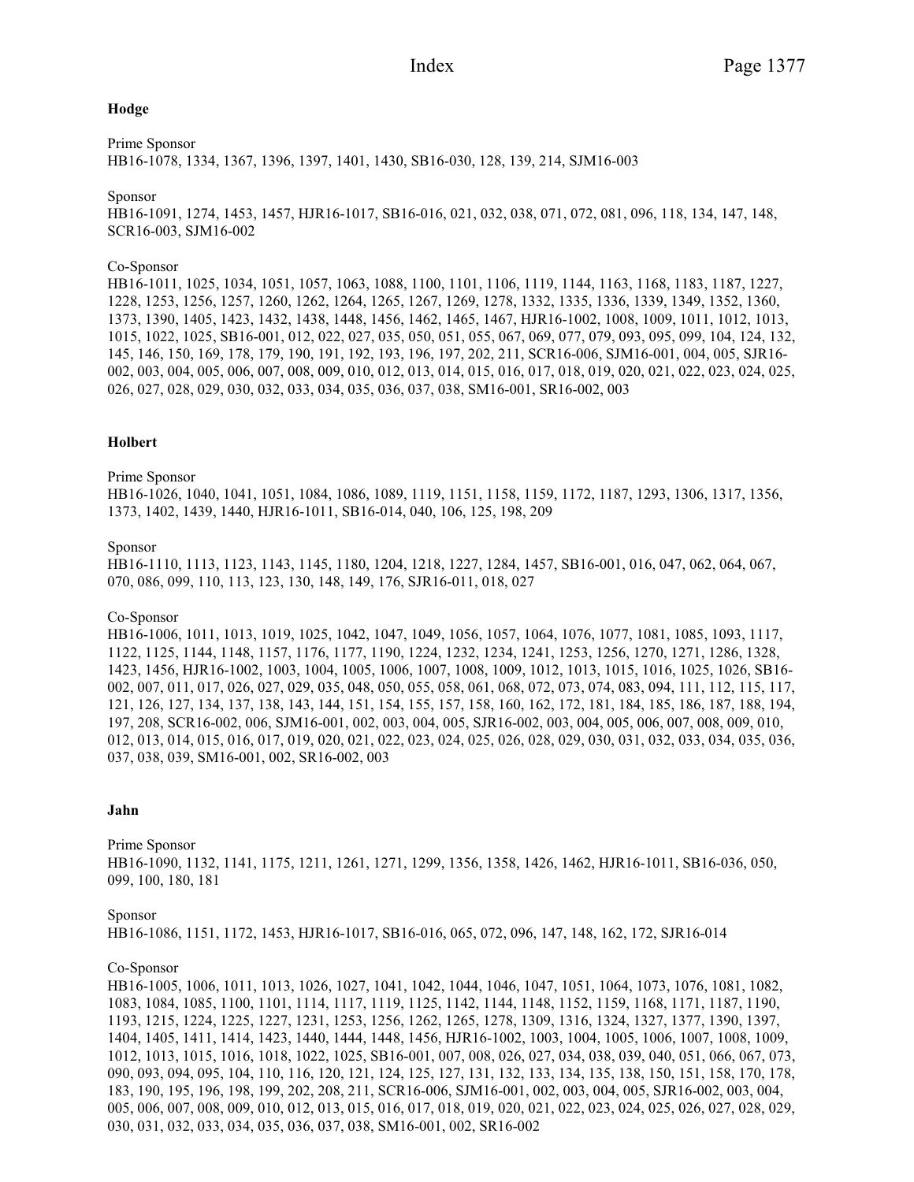#### **Hodge**

Prime Sponsor HB16-1078, 1334, 1367, 1396, 1397, 1401, 1430, SB16-030, 128, 139, 214, SJM16-003

Sponsor HB16-1091, 1274, 1453, 1457, HJR16-1017, SB16-016, 021, 032, 038, 071, 072, 081, 096, 118, 134, 147, 148, SCR16-003, SJM16-002

#### Co-Sponsor

HB16-1011, 1025, 1034, 1051, 1057, 1063, 1088, 1100, 1101, 1106, 1119, 1144, 1163, 1168, 1183, 1187, 1227, 1228, 1253, 1256, 1257, 1260, 1262, 1264, 1265, 1267, 1269, 1278, 1332, 1335, 1336, 1339, 1349, 1352, 1360, 1373, 1390, 1405, 1423, 1432, 1438, 1448, 1456, 1462, 1465, 1467, HJR16-1002, 1008, 1009, 1011, 1012, 1013, 1015, 1022, 1025, SB16-001, 012, 022, 027, 035, 050, 051, 055, 067, 069, 077, 079, 093, 095, 099, 104, 124, 132, 145, 146, 150, 169, 178, 179, 190, 191, 192, 193, 196, 197, 202, 211, SCR16-006, SJM16-001, 004, 005, SJR16- 002, 003, 004, 005, 006, 007, 008, 009, 010, 012, 013, 014, 015, 016, 017, 018, 019, 020, 021, 022, 023, 024, 025, 026, 027, 028, 029, 030, 032, 033, 034, 035, 036, 037, 038, SM16-001, SR16-002, 003

## **Holbert**

Prime Sponsor HB16-1026, 1040, 1041, 1051, 1084, 1086, 1089, 1119, 1151, 1158, 1159, 1172, 1187, 1293, 1306, 1317, 1356, 1373, 1402, 1439, 1440, HJR16-1011, SB16-014, 040, 106, 125, 198, 209

#### Sponsor

HB16-1110, 1113, 1123, 1143, 1145, 1180, 1204, 1218, 1227, 1284, 1457, SB16-001, 016, 047, 062, 064, 067, 070, 086, 099, 110, 113, 123, 130, 148, 149, 176, SJR16-011, 018, 027

#### Co-Sponsor

HB16-1006, 1011, 1013, 1019, 1025, 1042, 1047, 1049, 1056, 1057, 1064, 1076, 1077, 1081, 1085, 1093, 1117, 1122, 1125, 1144, 1148, 1157, 1176, 1177, 1190, 1224, 1232, 1234, 1241, 1253, 1256, 1270, 1271, 1286, 1328, 1423, 1456, HJR16-1002, 1003, 1004, 1005, 1006, 1007, 1008, 1009, 1012, 1013, 1015, 1016, 1025, 1026, SB16- 002, 007, 011, 017, 026, 027, 029, 035, 048, 050, 055, 058, 061, 068, 072, 073, 074, 083, 094, 111, 112, 115, 117, 121, 126, 127, 134, 137, 138, 143, 144, 151, 154, 155, 157, 158, 160, 162, 172, 181, 184, 185, 186, 187, 188, 194, 197, 208, SCR16-002, 006, SJM16-001, 002, 003, 004, 005, SJR16-002, 003, 004, 005, 006, 007, 008, 009, 010, 012, 013, 014, 015, 016, 017, 019, 020, 021, 022, 023, 024, 025, 026, 028, 029, 030, 031, 032, 033, 034, 035, 036, 037, 038, 039, SM16-001, 002, SR16-002, 003

#### **Jahn**

Prime Sponsor HB16-1090, 1132, 1141, 1175, 1211, 1261, 1271, 1299, 1356, 1358, 1426, 1462, HJR16-1011, SB16-036, 050, 099, 100, 180, 181

### Sponsor

HB16-1086, 1151, 1172, 1453, HJR16-1017, SB16-016, 065, 072, 096, 147, 148, 162, 172, SJR16-014

#### Co-Sponsor

HB16-1005, 1006, 1011, 1013, 1026, 1027, 1041, 1042, 1044, 1046, 1047, 1051, 1064, 1073, 1076, 1081, 1082, 1083, 1084, 1085, 1100, 1101, 1114, 1117, 1119, 1125, 1142, 1144, 1148, 1152, 1159, 1168, 1171, 1187, 1190, 1193, 1215, 1224, 1225, 1227, 1231, 1253, 1256, 1262, 1265, 1278, 1309, 1316, 1324, 1327, 1377, 1390, 1397, 1404, 1405, 1411, 1414, 1423, 1440, 1444, 1448, 1456, HJR16-1002, 1003, 1004, 1005, 1006, 1007, 1008, 1009, 1012, 1013, 1015, 1016, 1018, 1022, 1025, SB16-001, 007, 008, 026, 027, 034, 038, 039, 040, 051, 066, 067, 073, 090, 093, 094, 095, 104, 110, 116, 120, 121, 124, 125, 127, 131, 132, 133, 134, 135, 138, 150, 151, 158, 170, 178, 183, 190, 195, 196, 198, 199, 202, 208, 211, SCR16-006, SJM16-001, 002, 003, 004, 005, SJR16-002, 003, 004, 005, 006, 007, 008, 009, 010, 012, 013, 015, 016, 017, 018, 019, 020, 021, 022, 023, 024, 025, 026, 027, 028, 029, 030, 031, 032, 033, 034, 035, 036, 037, 038, SM16-001, 002, SR16-002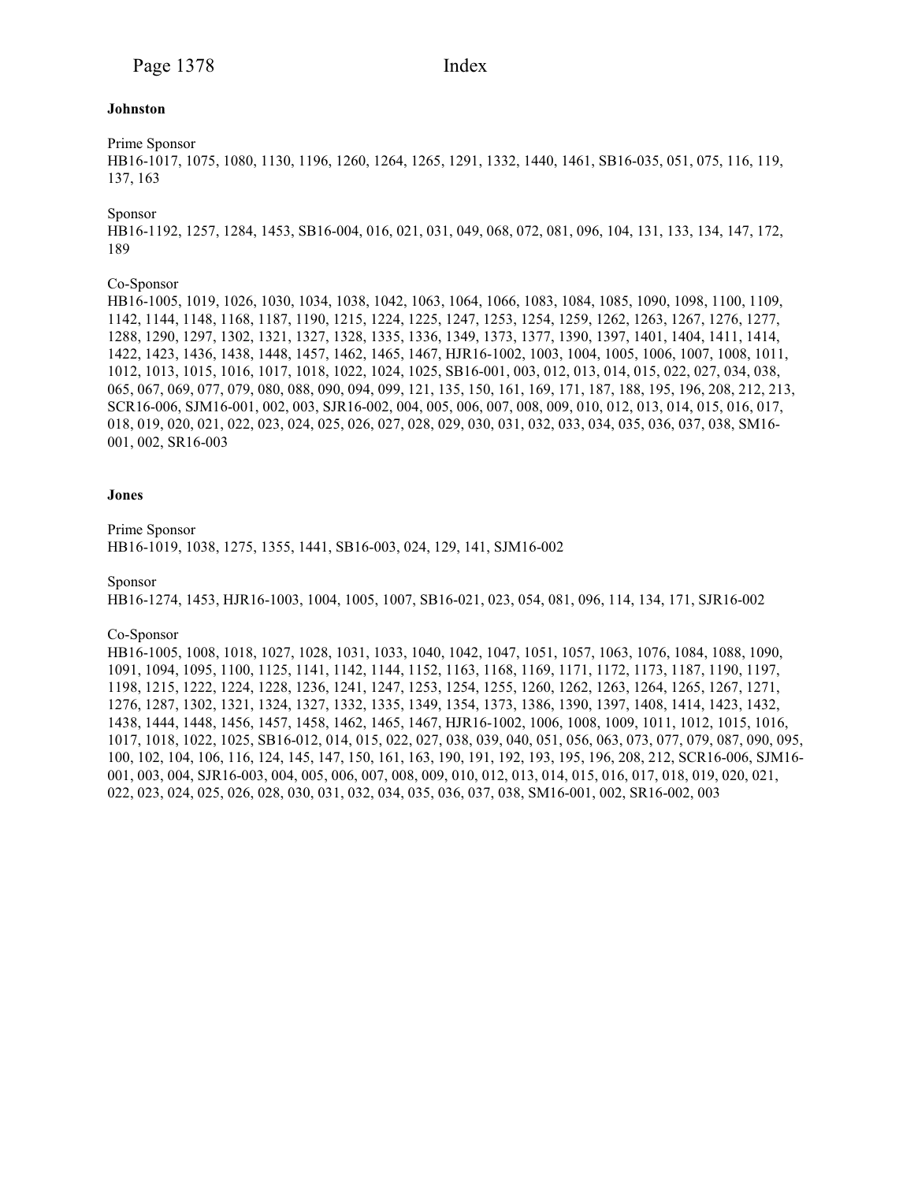# Page 1378 Index

## **Johnston**

## Prime Sponsor

HB16-1017, 1075, 1080, 1130, 1196, 1260, 1264, 1265, 1291, 1332, 1440, 1461, SB16-035, 051, 075, 116, 119, 137, 163

## Sponsor

HB16-1192, 1257, 1284, 1453, SB16-004, 016, 021, 031, 049, 068, 072, 081, 096, 104, 131, 133, 134, 147, 172, 189

## Co-Sponsor

HB16-1005, 1019, 1026, 1030, 1034, 1038, 1042, 1063, 1064, 1066, 1083, 1084, 1085, 1090, 1098, 1100, 1109, 1142, 1144, 1148, 1168, 1187, 1190, 1215, 1224, 1225, 1247, 1253, 1254, 1259, 1262, 1263, 1267, 1276, 1277, 1288, 1290, 1297, 1302, 1321, 1327, 1328, 1335, 1336, 1349, 1373, 1377, 1390, 1397, 1401, 1404, 1411, 1414, 1422, 1423, 1436, 1438, 1448, 1457, 1462, 1465, 1467, HJR16-1002, 1003, 1004, 1005, 1006, 1007, 1008, 1011, 1012, 1013, 1015, 1016, 1017, 1018, 1022, 1024, 1025, SB16-001, 003, 012, 013, 014, 015, 022, 027, 034, 038, 065, 067, 069, 077, 079, 080, 088, 090, 094, 099, 121, 135, 150, 161, 169, 171, 187, 188, 195, 196, 208, 212, 213, SCR16-006, SJM16-001, 002, 003, SJR16-002, 004, 005, 006, 007, 008, 009, 010, 012, 013, 014, 015, 016, 017, 018, 019, 020, 021, 022, 023, 024, 025, 026, 027, 028, 029, 030, 031, 032, 033, 034, 035, 036, 037, 038, SM16- 001, 002, SR16-003

## **Jones**

Prime Sponsor

HB16-1019, 1038, 1275, 1355, 1441, SB16-003, 024, 129, 141, SJM16-002

## Sponsor

HB16-1274, 1453, HJR16-1003, 1004, 1005, 1007, SB16-021, 023, 054, 081, 096, 114, 134, 171, SJR16-002

## Co-Sponsor

HB16-1005, 1008, 1018, 1027, 1028, 1031, 1033, 1040, 1042, 1047, 1051, 1057, 1063, 1076, 1084, 1088, 1090, 1091, 1094, 1095, 1100, 1125, 1141, 1142, 1144, 1152, 1163, 1168, 1169, 1171, 1172, 1173, 1187, 1190, 1197, 1198, 1215, 1222, 1224, 1228, 1236, 1241, 1247, 1253, 1254, 1255, 1260, 1262, 1263, 1264, 1265, 1267, 1271, 1276, 1287, 1302, 1321, 1324, 1327, 1332, 1335, 1349, 1354, 1373, 1386, 1390, 1397, 1408, 1414, 1423, 1432, 1438, 1444, 1448, 1456, 1457, 1458, 1462, 1465, 1467, HJR16-1002, 1006, 1008, 1009, 1011, 1012, 1015, 1016, 1017, 1018, 1022, 1025, SB16-012, 014, 015, 022, 027, 038, 039, 040, 051, 056, 063, 073, 077, 079, 087, 090, 095, 100, 102, 104, 106, 116, 124, 145, 147, 150, 161, 163, 190, 191, 192, 193, 195, 196, 208, 212, SCR16-006, SJM16- 001, 003, 004, SJR16-003, 004, 005, 006, 007, 008, 009, 010, 012, 013, 014, 015, 016, 017, 018, 019, 020, 021, 022, 023, 024, 025, 026, 028, 030, 031, 032, 034, 035, 036, 037, 038, SM16-001, 002, SR16-002, 003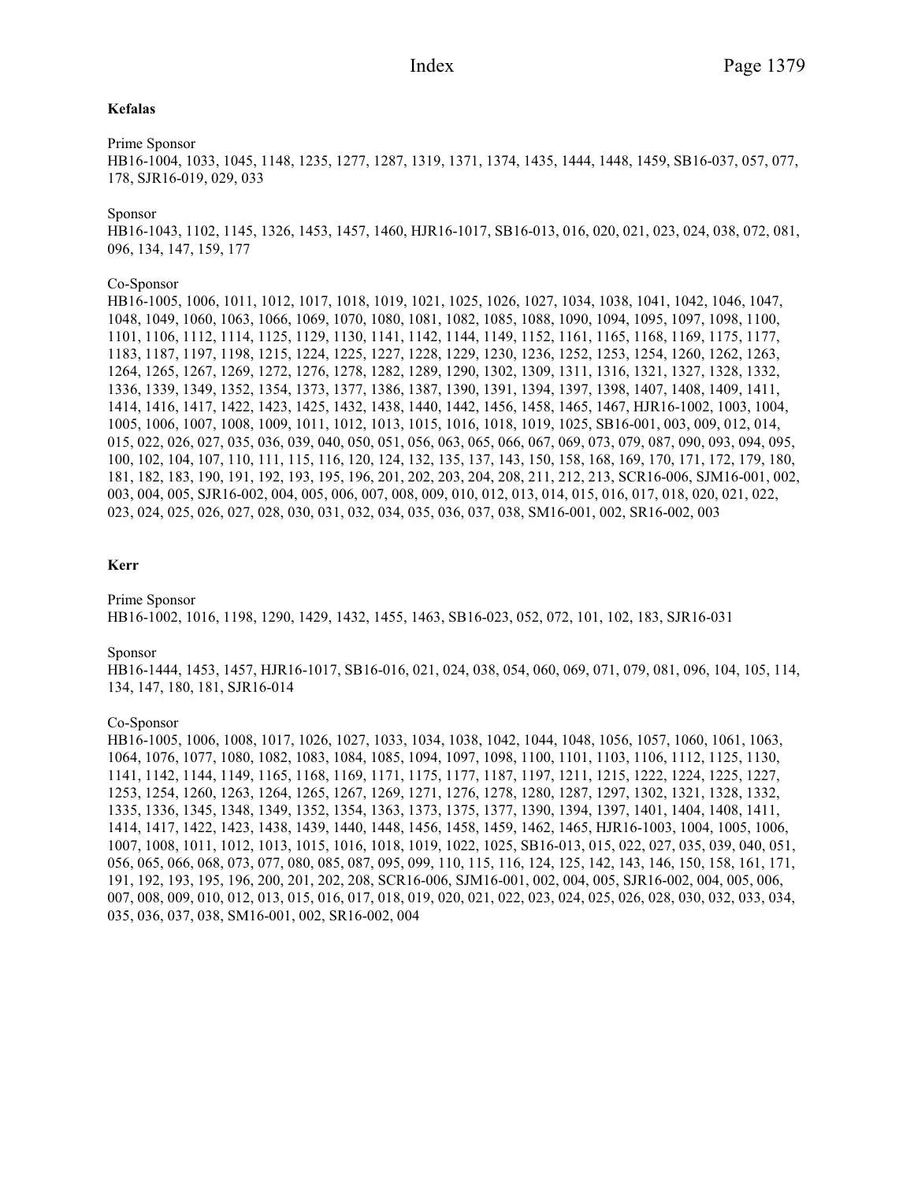### **Kefalas**

Prime Sponsor

HB16-1004, 1033, 1045, 1148, 1235, 1277, 1287, 1319, 1371, 1374, 1435, 1444, 1448, 1459, SB16-037, 057, 077, 178, SJR16-019, 029, 033

Sponsor

HB16-1043, 1102, 1145, 1326, 1453, 1457, 1460, HJR16-1017, SB16-013, 016, 020, 021, 023, 024, 038, 072, 081, 096, 134, 147, 159, 177

### Co-Sponsor

HB16-1005, 1006, 1011, 1012, 1017, 1018, 1019, 1021, 1025, 1026, 1027, 1034, 1038, 1041, 1042, 1046, 1047, 1048, 1049, 1060, 1063, 1066, 1069, 1070, 1080, 1081, 1082, 1085, 1088, 1090, 1094, 1095, 1097, 1098, 1100, 1101, 1106, 1112, 1114, 1125, 1129, 1130, 1141, 1142, 1144, 1149, 1152, 1161, 1165, 1168, 1169, 1175, 1177, 1183, 1187, 1197, 1198, 1215, 1224, 1225, 1227, 1228, 1229, 1230, 1236, 1252, 1253, 1254, 1260, 1262, 1263, 1264, 1265, 1267, 1269, 1272, 1276, 1278, 1282, 1289, 1290, 1302, 1309, 1311, 1316, 1321, 1327, 1328, 1332, 1336, 1339, 1349, 1352, 1354, 1373, 1377, 1386, 1387, 1390, 1391, 1394, 1397, 1398, 1407, 1408, 1409, 1411, 1414, 1416, 1417, 1422, 1423, 1425, 1432, 1438, 1440, 1442, 1456, 1458, 1465, 1467, HJR16-1002, 1003, 1004, 1005, 1006, 1007, 1008, 1009, 1011, 1012, 1013, 1015, 1016, 1018, 1019, 1025, SB16-001, 003, 009, 012, 014, 015, 022, 026, 027, 035, 036, 039, 040, 050, 051, 056, 063, 065, 066, 067, 069, 073, 079, 087, 090, 093, 094, 095, 100, 102, 104, 107, 110, 111, 115, 116, 120, 124, 132, 135, 137, 143, 150, 158, 168, 169, 170, 171, 172, 179, 180, 181, 182, 183, 190, 191, 192, 193, 195, 196, 201, 202, 203, 204, 208, 211, 212, 213, SCR16-006, SJM16-001, 002, 003, 004, 005, SJR16-002, 004, 005, 006, 007, 008, 009, 010, 012, 013, 014, 015, 016, 017, 018, 020, 021, 022, 023, 024, 025, 026, 027, 028, 030, 031, 032, 034, 035, 036, 037, 038, SM16-001, 002, SR16-002, 003

## **Kerr**

Prime Sponsor HB16-1002, 1016, 1198, 1290, 1429, 1432, 1455, 1463, SB16-023, 052, 072, 101, 102, 183, SJR16-031

Sponsor

HB16-1444, 1453, 1457, HJR16-1017, SB16-016, 021, 024, 038, 054, 060, 069, 071, 079, 081, 096, 104, 105, 114, 134, 147, 180, 181, SJR16-014

#### Co-Sponsor

HB16-1005, 1006, 1008, 1017, 1026, 1027, 1033, 1034, 1038, 1042, 1044, 1048, 1056, 1057, 1060, 1061, 1063, 1064, 1076, 1077, 1080, 1082, 1083, 1084, 1085, 1094, 1097, 1098, 1100, 1101, 1103, 1106, 1112, 1125, 1130, 1141, 1142, 1144, 1149, 1165, 1168, 1169, 1171, 1175, 1177, 1187, 1197, 1211, 1215, 1222, 1224, 1225, 1227, 1253, 1254, 1260, 1263, 1264, 1265, 1267, 1269, 1271, 1276, 1278, 1280, 1287, 1297, 1302, 1321, 1328, 1332, 1335, 1336, 1345, 1348, 1349, 1352, 1354, 1363, 1373, 1375, 1377, 1390, 1394, 1397, 1401, 1404, 1408, 1411, 1414, 1417, 1422, 1423, 1438, 1439, 1440, 1448, 1456, 1458, 1459, 1462, 1465, HJR16-1003, 1004, 1005, 1006, 1007, 1008, 1011, 1012, 1013, 1015, 1016, 1018, 1019, 1022, 1025, SB16-013, 015, 022, 027, 035, 039, 040, 051, 056, 065, 066, 068, 073, 077, 080, 085, 087, 095, 099, 110, 115, 116, 124, 125, 142, 143, 146, 150, 158, 161, 171, 191, 192, 193, 195, 196, 200, 201, 202, 208, SCR16-006, SJM16-001, 002, 004, 005, SJR16-002, 004, 005, 006, 007, 008, 009, 010, 012, 013, 015, 016, 017, 018, 019, 020, 021, 022, 023, 024, 025, 026, 028, 030, 032, 033, 034, 035, 036, 037, 038, SM16-001, 002, SR16-002, 004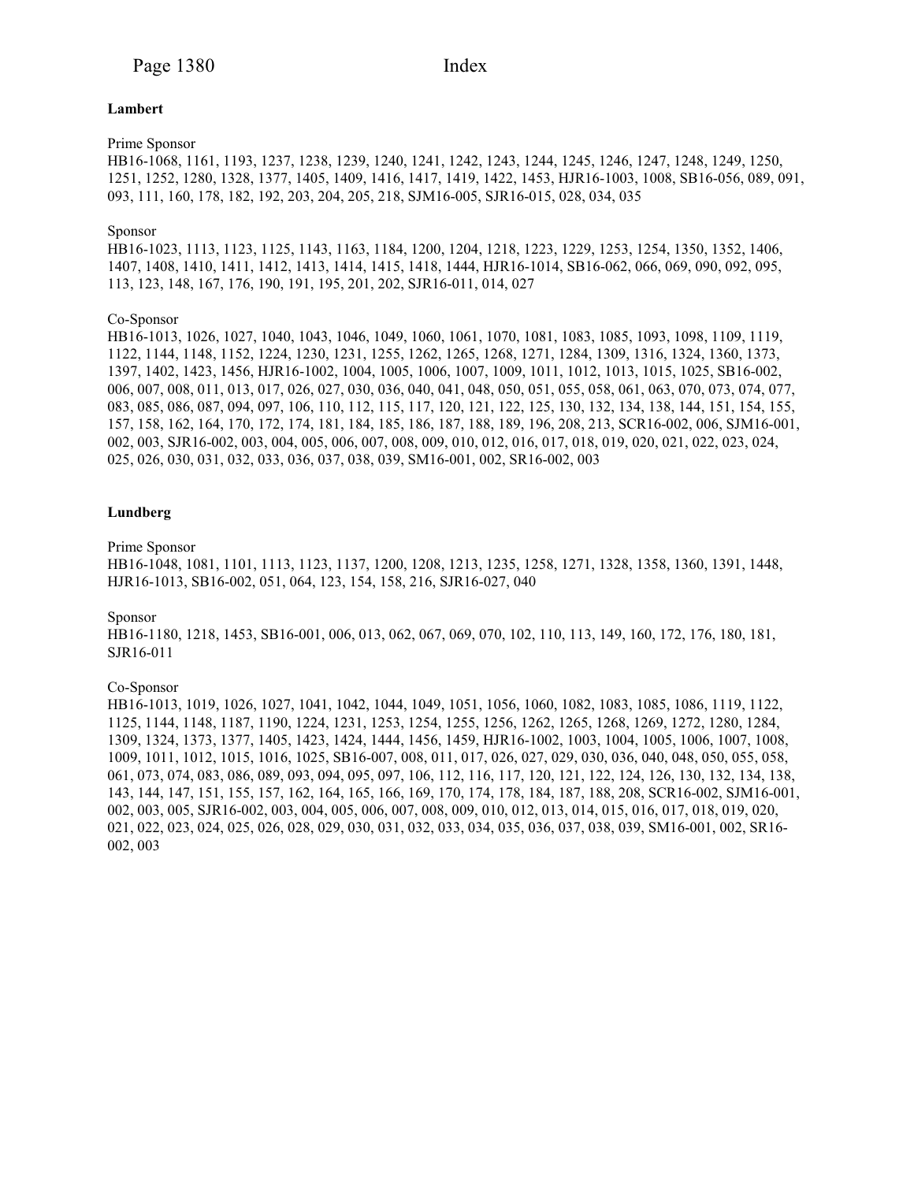### **Lambert**

### Prime Sponsor

HB16-1068, 1161, 1193, 1237, 1238, 1239, 1240, 1241, 1242, 1243, 1244, 1245, 1246, 1247, 1248, 1249, 1250, 1251, 1252, 1280, 1328, 1377, 1405, 1409, 1416, 1417, 1419, 1422, 1453, HJR16-1003, 1008, SB16-056, 089, 091, 093, 111, 160, 178, 182, 192, 203, 204, 205, 218, SJM16-005, SJR16-015, 028, 034, 035

## Sponsor

HB16-1023, 1113, 1123, 1125, 1143, 1163, 1184, 1200, 1204, 1218, 1223, 1229, 1253, 1254, 1350, 1352, 1406, 1407, 1408, 1410, 1411, 1412, 1413, 1414, 1415, 1418, 1444, HJR16-1014, SB16-062, 066, 069, 090, 092, 095, 113, 123, 148, 167, 176, 190, 191, 195, 201, 202, SJR16-011, 014, 027

## Co-Sponsor

HB16-1013, 1026, 1027, 1040, 1043, 1046, 1049, 1060, 1061, 1070, 1081, 1083, 1085, 1093, 1098, 1109, 1119, 1122, 1144, 1148, 1152, 1224, 1230, 1231, 1255, 1262, 1265, 1268, 1271, 1284, 1309, 1316, 1324, 1360, 1373, 1397, 1402, 1423, 1456, HJR16-1002, 1004, 1005, 1006, 1007, 1009, 1011, 1012, 1013, 1015, 1025, SB16-002, 006, 007, 008, 011, 013, 017, 026, 027, 030, 036, 040, 041, 048, 050, 051, 055, 058, 061, 063, 070, 073, 074, 077, 083, 085, 086, 087, 094, 097, 106, 110, 112, 115, 117, 120, 121, 122, 125, 130, 132, 134, 138, 144, 151, 154, 155, 157, 158, 162, 164, 170, 172, 174, 181, 184, 185, 186, 187, 188, 189, 196, 208, 213, SCR16-002, 006, SJM16-001, 002, 003, SJR16-002, 003, 004, 005, 006, 007, 008, 009, 010, 012, 016, 017, 018, 019, 020, 021, 022, 023, 024, 025, 026, 030, 031, 032, 033, 036, 037, 038, 039, SM16-001, 002, SR16-002, 003

### **Lundberg**

#### Prime Sponsor

HB16-1048, 1081, 1101, 1113, 1123, 1137, 1200, 1208, 1213, 1235, 1258, 1271, 1328, 1358, 1360, 1391, 1448, HJR16-1013, SB16-002, 051, 064, 123, 154, 158, 216, SJR16-027, 040

#### Sponsor

HB16-1180, 1218, 1453, SB16-001, 006, 013, 062, 067, 069, 070, 102, 110, 113, 149, 160, 172, 176, 180, 181, SJR16-011

#### Co-Sponsor

HB16-1013, 1019, 1026, 1027, 1041, 1042, 1044, 1049, 1051, 1056, 1060, 1082, 1083, 1085, 1086, 1119, 1122, 1125, 1144, 1148, 1187, 1190, 1224, 1231, 1253, 1254, 1255, 1256, 1262, 1265, 1268, 1269, 1272, 1280, 1284, 1309, 1324, 1373, 1377, 1405, 1423, 1424, 1444, 1456, 1459, HJR16-1002, 1003, 1004, 1005, 1006, 1007, 1008, 1009, 1011, 1012, 1015, 1016, 1025, SB16-007, 008, 011, 017, 026, 027, 029, 030, 036, 040, 048, 050, 055, 058, 061, 073, 074, 083, 086, 089, 093, 094, 095, 097, 106, 112, 116, 117, 120, 121, 122, 124, 126, 130, 132, 134, 138, 143, 144, 147, 151, 155, 157, 162, 164, 165, 166, 169, 170, 174, 178, 184, 187, 188, 208, SCR16-002, SJM16-001, 002, 003, 005, SJR16-002, 003, 004, 005, 006, 007, 008, 009, 010, 012, 013, 014, 015, 016, 017, 018, 019, 020, 021, 022, 023, 024, 025, 026, 028, 029, 030, 031, 032, 033, 034, 035, 036, 037, 038, 039, SM16-001, 002, SR16- 002, 003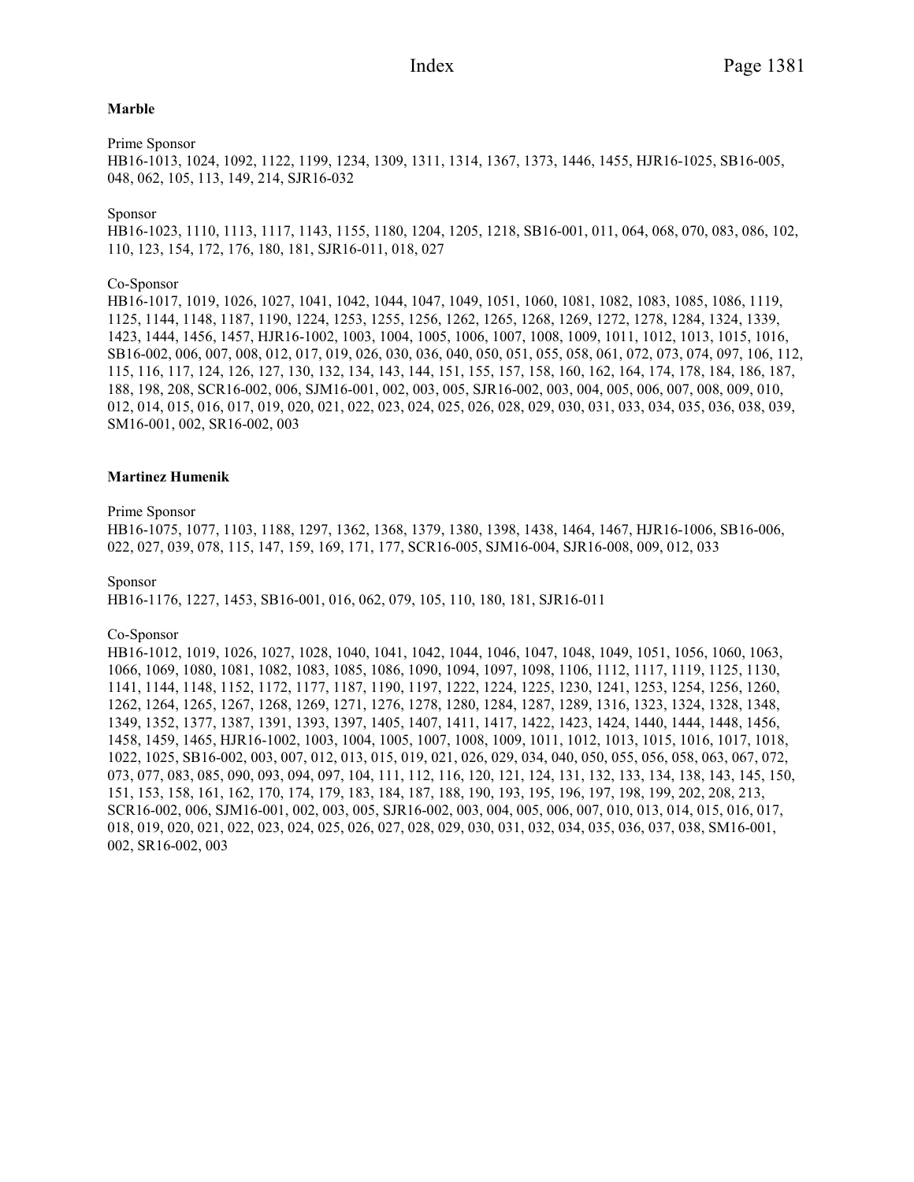## **Marble**

### Prime Sponsor

HB16-1013, 1024, 1092, 1122, 1199, 1234, 1309, 1311, 1314, 1367, 1373, 1446, 1455, HJR16-1025, SB16-005, 048, 062, 105, 113, 149, 214, SJR16-032

### Sponsor

HB16-1023, 1110, 1113, 1117, 1143, 1155, 1180, 1204, 1205, 1218, SB16-001, 011, 064, 068, 070, 083, 086, 102, 110, 123, 154, 172, 176, 180, 181, SJR16-011, 018, 027

### Co-Sponsor

HB16-1017, 1019, 1026, 1027, 1041, 1042, 1044, 1047, 1049, 1051, 1060, 1081, 1082, 1083, 1085, 1086, 1119, 1125, 1144, 1148, 1187, 1190, 1224, 1253, 1255, 1256, 1262, 1265, 1268, 1269, 1272, 1278, 1284, 1324, 1339, 1423, 1444, 1456, 1457, HJR16-1002, 1003, 1004, 1005, 1006, 1007, 1008, 1009, 1011, 1012, 1013, 1015, 1016, SB16-002, 006, 007, 008, 012, 017, 019, 026, 030, 036, 040, 050, 051, 055, 058, 061, 072, 073, 074, 097, 106, 112, 115, 116, 117, 124, 126, 127, 130, 132, 134, 143, 144, 151, 155, 157, 158, 160, 162, 164, 174, 178, 184, 186, 187, 188, 198, 208, SCR16-002, 006, SJM16-001, 002, 003, 005, SJR16-002, 003, 004, 005, 006, 007, 008, 009, 010, 012, 014, 015, 016, 017, 019, 020, 021, 022, 023, 024, 025, 026, 028, 029, 030, 031, 033, 034, 035, 036, 038, 039, SM16-001, 002, SR16-002, 003

### **Martinez Humenik**

#### Prime Sponsor

HB16-1075, 1077, 1103, 1188, 1297, 1362, 1368, 1379, 1380, 1398, 1438, 1464, 1467, HJR16-1006, SB16-006, 022, 027, 039, 078, 115, 147, 159, 169, 171, 177, SCR16-005, SJM16-004, SJR16-008, 009, 012, 033

### Sponsor

HB16-1176, 1227, 1453, SB16-001, 016, 062, 079, 105, 110, 180, 181, SJR16-011

## Co-Sponsor

HB16-1012, 1019, 1026, 1027, 1028, 1040, 1041, 1042, 1044, 1046, 1047, 1048, 1049, 1051, 1056, 1060, 1063, 1066, 1069, 1080, 1081, 1082, 1083, 1085, 1086, 1090, 1094, 1097, 1098, 1106, 1112, 1117, 1119, 1125, 1130, 1141, 1144, 1148, 1152, 1172, 1177, 1187, 1190, 1197, 1222, 1224, 1225, 1230, 1241, 1253, 1254, 1256, 1260, 1262, 1264, 1265, 1267, 1268, 1269, 1271, 1276, 1278, 1280, 1284, 1287, 1289, 1316, 1323, 1324, 1328, 1348, 1349, 1352, 1377, 1387, 1391, 1393, 1397, 1405, 1407, 1411, 1417, 1422, 1423, 1424, 1440, 1444, 1448, 1456, 1458, 1459, 1465, HJR16-1002, 1003, 1004, 1005, 1007, 1008, 1009, 1011, 1012, 1013, 1015, 1016, 1017, 1018, 1022, 1025, SB16-002, 003, 007, 012, 013, 015, 019, 021, 026, 029, 034, 040, 050, 055, 056, 058, 063, 067, 072, 073, 077, 083, 085, 090, 093, 094, 097, 104, 111, 112, 116, 120, 121, 124, 131, 132, 133, 134, 138, 143, 145, 150, 151, 153, 158, 161, 162, 170, 174, 179, 183, 184, 187, 188, 190, 193, 195, 196, 197, 198, 199, 202, 208, 213, SCR16-002, 006, SJM16-001, 002, 003, 005, SJR16-002, 003, 004, 005, 006, 007, 010, 013, 014, 015, 016, 017, 018, 019, 020, 021, 022, 023, 024, 025, 026, 027, 028, 029, 030, 031, 032, 034, 035, 036, 037, 038, SM16-001, 002, SR16-002, 003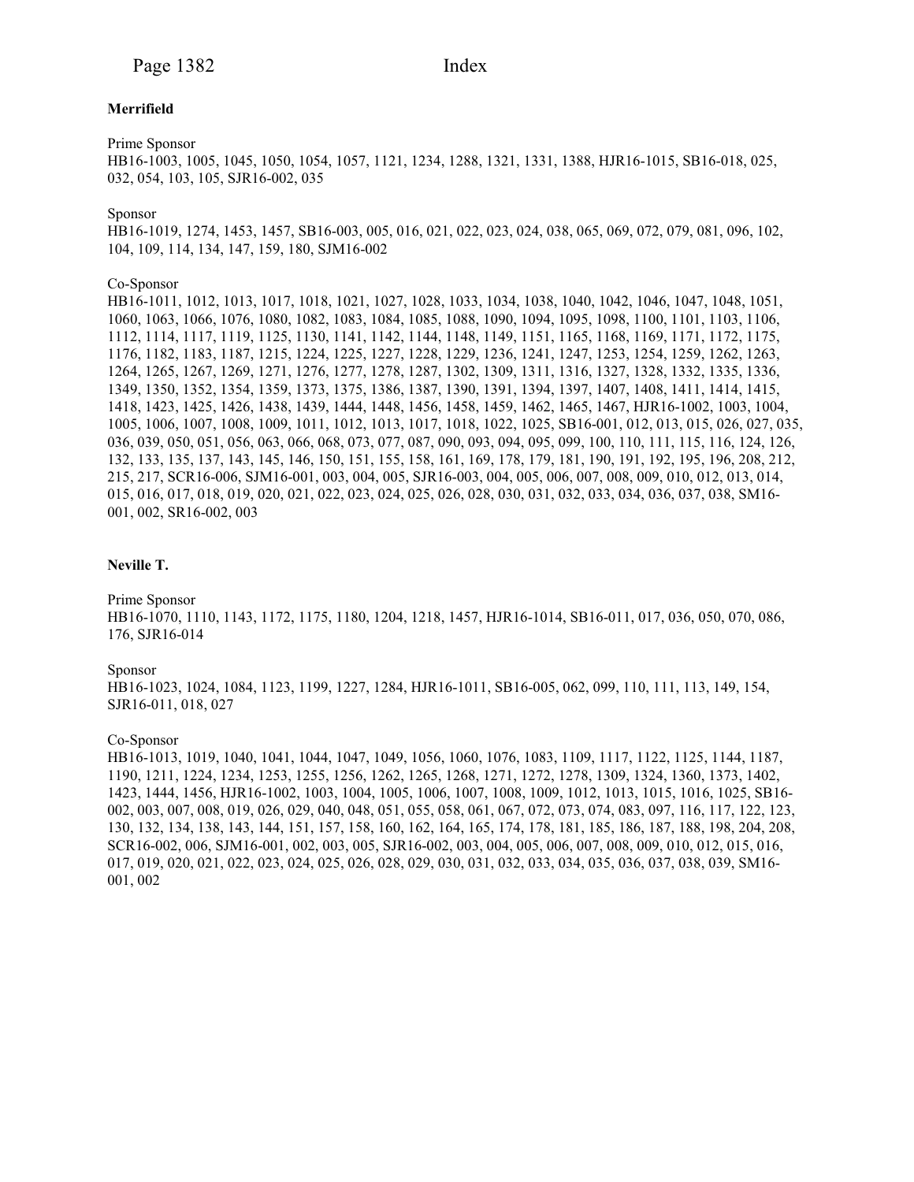## **Merrifield**

Prime Sponsor

HB16-1003, 1005, 1045, 1050, 1054, 1057, 1121, 1234, 1288, 1321, 1331, 1388, HJR16-1015, SB16-018, 025, 032, 054, 103, 105, SJR16-002, 035

## Sponsor

HB16-1019, 1274, 1453, 1457, SB16-003, 005, 016, 021, 022, 023, 024, 038, 065, 069, 072, 079, 081, 096, 102, 104, 109, 114, 134, 147, 159, 180, SJM16-002

### Co-Sponsor

HB16-1011, 1012, 1013, 1017, 1018, 1021, 1027, 1028, 1033, 1034, 1038, 1040, 1042, 1046, 1047, 1048, 1051, 1060, 1063, 1066, 1076, 1080, 1082, 1083, 1084, 1085, 1088, 1090, 1094, 1095, 1098, 1100, 1101, 1103, 1106, 1112, 1114, 1117, 1119, 1125, 1130, 1141, 1142, 1144, 1148, 1149, 1151, 1165, 1168, 1169, 1171, 1172, 1175, 1176, 1182, 1183, 1187, 1215, 1224, 1225, 1227, 1228, 1229, 1236, 1241, 1247, 1253, 1254, 1259, 1262, 1263, 1264, 1265, 1267, 1269, 1271, 1276, 1277, 1278, 1287, 1302, 1309, 1311, 1316, 1327, 1328, 1332, 1335, 1336, 1349, 1350, 1352, 1354, 1359, 1373, 1375, 1386, 1387, 1390, 1391, 1394, 1397, 1407, 1408, 1411, 1414, 1415, 1418, 1423, 1425, 1426, 1438, 1439, 1444, 1448, 1456, 1458, 1459, 1462, 1465, 1467, HJR16-1002, 1003, 1004, 1005, 1006, 1007, 1008, 1009, 1011, 1012, 1013, 1017, 1018, 1022, 1025, SB16-001, 012, 013, 015, 026, 027, 035, 036, 039, 050, 051, 056, 063, 066, 068, 073, 077, 087, 090, 093, 094, 095, 099, 100, 110, 111, 115, 116, 124, 126, 132, 133, 135, 137, 143, 145, 146, 150, 151, 155, 158, 161, 169, 178, 179, 181, 190, 191, 192, 195, 196, 208, 212, 215, 217, SCR16-006, SJM16-001, 003, 004, 005, SJR16-003, 004, 005, 006, 007, 008, 009, 010, 012, 013, 014, 015, 016, 017, 018, 019, 020, 021, 022, 023, 024, 025, 026, 028, 030, 031, 032, 033, 034, 036, 037, 038, SM16- 001, 002, SR16-002, 003

## **Neville T.**

#### Prime Sponsor

HB16-1070, 1110, 1143, 1172, 1175, 1180, 1204, 1218, 1457, HJR16-1014, SB16-011, 017, 036, 050, 070, 086, 176, SJR16-014

### Sponsor

HB16-1023, 1024, 1084, 1123, 1199, 1227, 1284, HJR16-1011, SB16-005, 062, 099, 110, 111, 113, 149, 154, SJR16-011, 018, 027

#### Co-Sponsor

HB16-1013, 1019, 1040, 1041, 1044, 1047, 1049, 1056, 1060, 1076, 1083, 1109, 1117, 1122, 1125, 1144, 1187, 1190, 1211, 1224, 1234, 1253, 1255, 1256, 1262, 1265, 1268, 1271, 1272, 1278, 1309, 1324, 1360, 1373, 1402, 1423, 1444, 1456, HJR16-1002, 1003, 1004, 1005, 1006, 1007, 1008, 1009, 1012, 1013, 1015, 1016, 1025, SB16- 002, 003, 007, 008, 019, 026, 029, 040, 048, 051, 055, 058, 061, 067, 072, 073, 074, 083, 097, 116, 117, 122, 123, 130, 132, 134, 138, 143, 144, 151, 157, 158, 160, 162, 164, 165, 174, 178, 181, 185, 186, 187, 188, 198, 204, 208, SCR16-002, 006, SJM16-001, 002, 003, 005, SJR16-002, 003, 004, 005, 006, 007, 008, 009, 010, 012, 015, 016, 017, 019, 020, 021, 022, 023, 024, 025, 026, 028, 029, 030, 031, 032, 033, 034, 035, 036, 037, 038, 039, SM16- 001, 002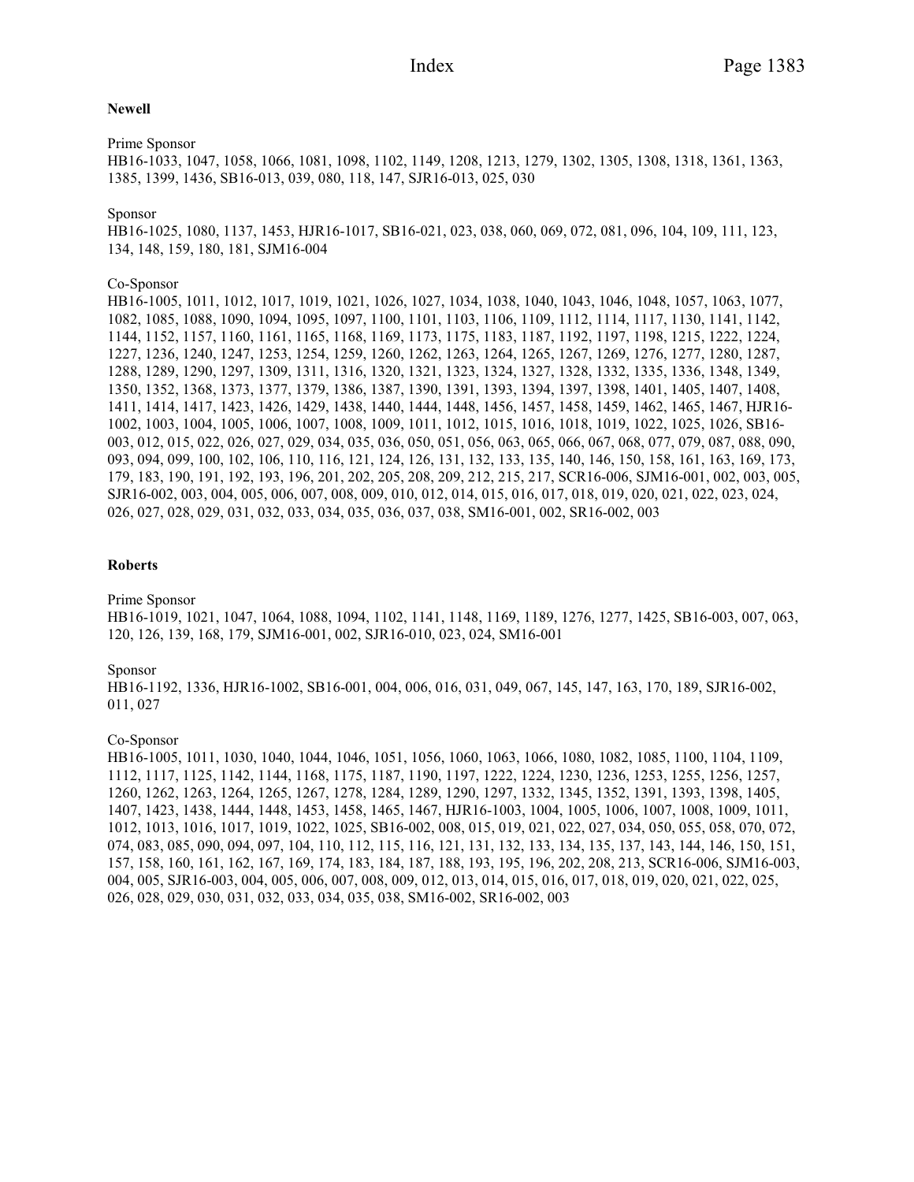#### **Newell**

Prime Sponsor

HB16-1033, 1047, 1058, 1066, 1081, 1098, 1102, 1149, 1208, 1213, 1279, 1302, 1305, 1308, 1318, 1361, 1363, 1385, 1399, 1436, SB16-013, 039, 080, 118, 147, SJR16-013, 025, 030

### Sponsor

HB16-1025, 1080, 1137, 1453, HJR16-1017, SB16-021, 023, 038, 060, 069, 072, 081, 096, 104, 109, 111, 123, 134, 148, 159, 180, 181, SJM16-004

### Co-Sponsor

HB16-1005, 1011, 1012, 1017, 1019, 1021, 1026, 1027, 1034, 1038, 1040, 1043, 1046, 1048, 1057, 1063, 1077, 1082, 1085, 1088, 1090, 1094, 1095, 1097, 1100, 1101, 1103, 1106, 1109, 1112, 1114, 1117, 1130, 1141, 1142, 1144, 1152, 1157, 1160, 1161, 1165, 1168, 1169, 1173, 1175, 1183, 1187, 1192, 1197, 1198, 1215, 1222, 1224, 1227, 1236, 1240, 1247, 1253, 1254, 1259, 1260, 1262, 1263, 1264, 1265, 1267, 1269, 1276, 1277, 1280, 1287, 1288, 1289, 1290, 1297, 1309, 1311, 1316, 1320, 1321, 1323, 1324, 1327, 1328, 1332, 1335, 1336, 1348, 1349, 1350, 1352, 1368, 1373, 1377, 1379, 1386, 1387, 1390, 1391, 1393, 1394, 1397, 1398, 1401, 1405, 1407, 1408, 1411, 1414, 1417, 1423, 1426, 1429, 1438, 1440, 1444, 1448, 1456, 1457, 1458, 1459, 1462, 1465, 1467, HJR16- 1002, 1003, 1004, 1005, 1006, 1007, 1008, 1009, 1011, 1012, 1015, 1016, 1018, 1019, 1022, 1025, 1026, SB16- 003, 012, 015, 022, 026, 027, 029, 034, 035, 036, 050, 051, 056, 063, 065, 066, 067, 068, 077, 079, 087, 088, 090, 093, 094, 099, 100, 102, 106, 110, 116, 121, 124, 126, 131, 132, 133, 135, 140, 146, 150, 158, 161, 163, 169, 173, 179, 183, 190, 191, 192, 193, 196, 201, 202, 205, 208, 209, 212, 215, 217, SCR16-006, SJM16-001, 002, 003, 005, SJR16-002, 003, 004, 005, 006, 007, 008, 009, 010, 012, 014, 015, 016, 017, 018, 019, 020, 021, 022, 023, 024, 026, 027, 028, 029, 031, 032, 033, 034, 035, 036, 037, 038, SM16-001, 002, SR16-002, 003

## **Roberts**

#### Prime Sponsor

HB16-1019, 1021, 1047, 1064, 1088, 1094, 1102, 1141, 1148, 1169, 1189, 1276, 1277, 1425, SB16-003, 007, 063, 120, 126, 139, 168, 179, SJM16-001, 002, SJR16-010, 023, 024, SM16-001

### Sponsor

HB16-1192, 1336, HJR16-1002, SB16-001, 004, 006, 016, 031, 049, 067, 145, 147, 163, 170, 189, SJR16-002, 011, 027

## Co-Sponsor

HB16-1005, 1011, 1030, 1040, 1044, 1046, 1051, 1056, 1060, 1063, 1066, 1080, 1082, 1085, 1100, 1104, 1109, 1112, 1117, 1125, 1142, 1144, 1168, 1175, 1187, 1190, 1197, 1222, 1224, 1230, 1236, 1253, 1255, 1256, 1257, 1260, 1262, 1263, 1264, 1265, 1267, 1278, 1284, 1289, 1290, 1297, 1332, 1345, 1352, 1391, 1393, 1398, 1405, 1407, 1423, 1438, 1444, 1448, 1453, 1458, 1465, 1467, HJR16-1003, 1004, 1005, 1006, 1007, 1008, 1009, 1011, 1012, 1013, 1016, 1017, 1019, 1022, 1025, SB16-002, 008, 015, 019, 021, 022, 027, 034, 050, 055, 058, 070, 072, 074, 083, 085, 090, 094, 097, 104, 110, 112, 115, 116, 121, 131, 132, 133, 134, 135, 137, 143, 144, 146, 150, 151, 157, 158, 160, 161, 162, 167, 169, 174, 183, 184, 187, 188, 193, 195, 196, 202, 208, 213, SCR16-006, SJM16-003, 004, 005, SJR16-003, 004, 005, 006, 007, 008, 009, 012, 013, 014, 015, 016, 017, 018, 019, 020, 021, 022, 025, 026, 028, 029, 030, 031, 032, 033, 034, 035, 038, SM16-002, SR16-002, 003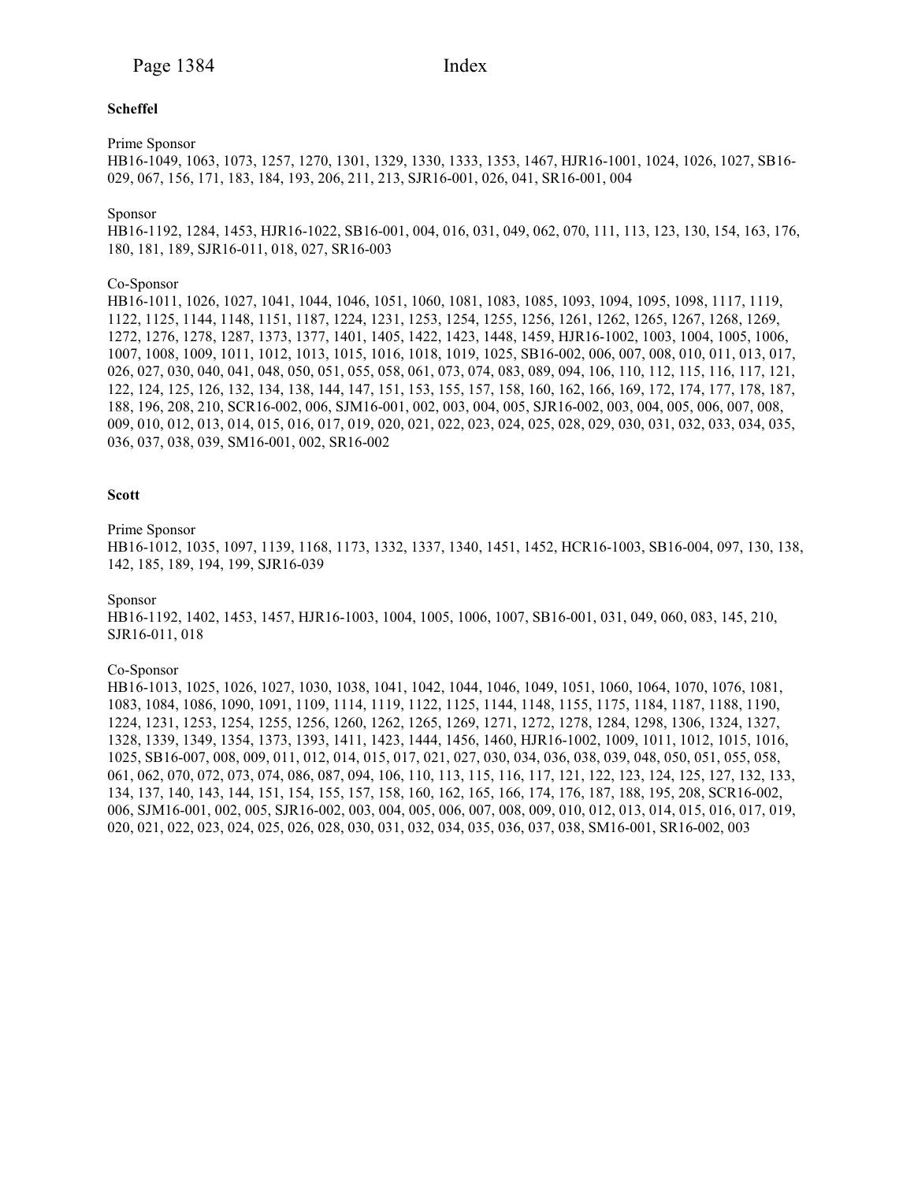## **Scheffel**

Prime Sponsor

HB16-1049, 1063, 1073, 1257, 1270, 1301, 1329, 1330, 1333, 1353, 1467, HJR16-1001, 1024, 1026, 1027, SB16- 029, 067, 156, 171, 183, 184, 193, 206, 211, 213, SJR16-001, 026, 041, SR16-001, 004

#### Sponsor

HB16-1192, 1284, 1453, HJR16-1022, SB16-001, 004, 016, 031, 049, 062, 070, 111, 113, 123, 130, 154, 163, 176, 180, 181, 189, SJR16-011, 018, 027, SR16-003

#### Co-Sponsor

HB16-1011, 1026, 1027, 1041, 1044, 1046, 1051, 1060, 1081, 1083, 1085, 1093, 1094, 1095, 1098, 1117, 1119, 1122, 1125, 1144, 1148, 1151, 1187, 1224, 1231, 1253, 1254, 1255, 1256, 1261, 1262, 1265, 1267, 1268, 1269, 1272, 1276, 1278, 1287, 1373, 1377, 1401, 1405, 1422, 1423, 1448, 1459, HJR16-1002, 1003, 1004, 1005, 1006, 1007, 1008, 1009, 1011, 1012, 1013, 1015, 1016, 1018, 1019, 1025, SB16-002, 006, 007, 008, 010, 011, 013, 017, 026, 027, 030, 040, 041, 048, 050, 051, 055, 058, 061, 073, 074, 083, 089, 094, 106, 110, 112, 115, 116, 117, 121, 122, 124, 125, 126, 132, 134, 138, 144, 147, 151, 153, 155, 157, 158, 160, 162, 166, 169, 172, 174, 177, 178, 187, 188, 196, 208, 210, SCR16-002, 006, SJM16-001, 002, 003, 004, 005, SJR16-002, 003, 004, 005, 006, 007, 008, 009, 010, 012, 013, 014, 015, 016, 017, 019, 020, 021, 022, 023, 024, 025, 028, 029, 030, 031, 032, 033, 034, 035, 036, 037, 038, 039, SM16-001, 002, SR16-002

## **Scott**

#### Prime Sponsor

HB16-1012, 1035, 1097, 1139, 1168, 1173, 1332, 1337, 1340, 1451, 1452, HCR16-1003, SB16-004, 097, 130, 138, 142, 185, 189, 194, 199, SJR16-039

## Sponsor

HB16-1192, 1402, 1453, 1457, HJR16-1003, 1004, 1005, 1006, 1007, SB16-001, 031, 049, 060, 083, 145, 210, SJR16-011, 018

#### Co-Sponsor

HB16-1013, 1025, 1026, 1027, 1030, 1038, 1041, 1042, 1044, 1046, 1049, 1051, 1060, 1064, 1070, 1076, 1081, 1083, 1084, 1086, 1090, 1091, 1109, 1114, 1119, 1122, 1125, 1144, 1148, 1155, 1175, 1184, 1187, 1188, 1190, 1224, 1231, 1253, 1254, 1255, 1256, 1260, 1262, 1265, 1269, 1271, 1272, 1278, 1284, 1298, 1306, 1324, 1327, 1328, 1339, 1349, 1354, 1373, 1393, 1411, 1423, 1444, 1456, 1460, HJR16-1002, 1009, 1011, 1012, 1015, 1016, 1025, SB16-007, 008, 009, 011, 012, 014, 015, 017, 021, 027, 030, 034, 036, 038, 039, 048, 050, 051, 055, 058, 061, 062, 070, 072, 073, 074, 086, 087, 094, 106, 110, 113, 115, 116, 117, 121, 122, 123, 124, 125, 127, 132, 133, 134, 137, 140, 143, 144, 151, 154, 155, 157, 158, 160, 162, 165, 166, 174, 176, 187, 188, 195, 208, SCR16-002, 006, SJM16-001, 002, 005, SJR16-002, 003, 004, 005, 006, 007, 008, 009, 010, 012, 013, 014, 015, 016, 017, 019, 020, 021, 022, 023, 024, 025, 026, 028, 030, 031, 032, 034, 035, 036, 037, 038, SM16-001, SR16-002, 003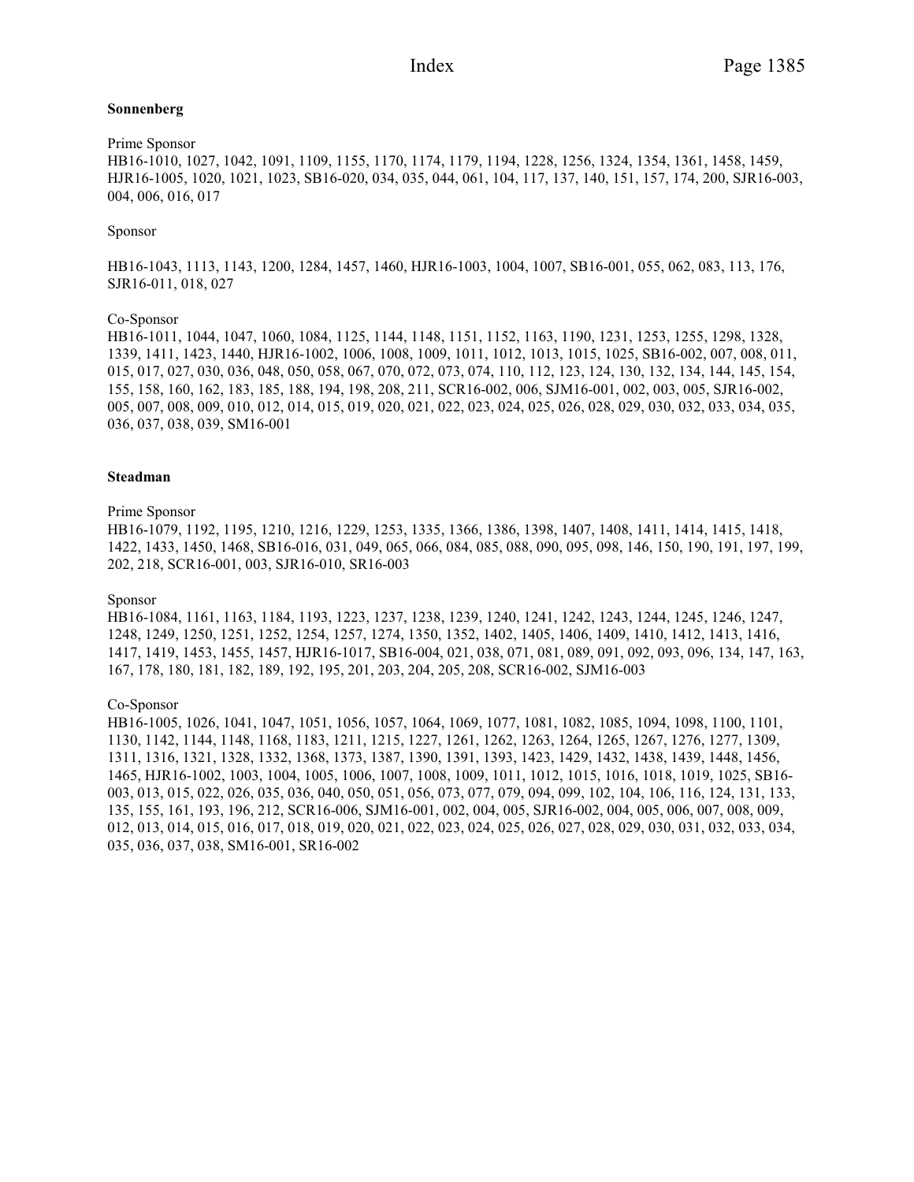#### **Sonnenberg**

Prime Sponsor HB16-1010, 1027, 1042, 1091, 1109, 1155, 1170, 1174, 1179, 1194, 1228, 1256, 1324, 1354, 1361, 1458, 1459, HJR16-1005, 1020, 1021, 1023, SB16-020, 034, 035, 044, 061, 104, 117, 137, 140, 151, 157, 174, 200, SJR16-003, 004, 006, 016, 017

## Sponsor

HB16-1043, 1113, 1143, 1200, 1284, 1457, 1460, HJR16-1003, 1004, 1007, SB16-001, 055, 062, 083, 113, 176, SJR16-011, 018, 027

### Co-Sponsor

HB16-1011, 1044, 1047, 1060, 1084, 1125, 1144, 1148, 1151, 1152, 1163, 1190, 1231, 1253, 1255, 1298, 1328, 1339, 1411, 1423, 1440, HJR16-1002, 1006, 1008, 1009, 1011, 1012, 1013, 1015, 1025, SB16-002, 007, 008, 011, 015, 017, 027, 030, 036, 048, 050, 058, 067, 070, 072, 073, 074, 110, 112, 123, 124, 130, 132, 134, 144, 145, 154, 155, 158, 160, 162, 183, 185, 188, 194, 198, 208, 211, SCR16-002, 006, SJM16-001, 002, 003, 005, SJR16-002, 005, 007, 008, 009, 010, 012, 014, 015, 019, 020, 021, 022, 023, 024, 025, 026, 028, 029, 030, 032, 033, 034, 035, 036, 037, 038, 039, SM16-001

## **Steadman**

#### Prime Sponsor

HB16-1079, 1192, 1195, 1210, 1216, 1229, 1253, 1335, 1366, 1386, 1398, 1407, 1408, 1411, 1414, 1415, 1418, 1422, 1433, 1450, 1468, SB16-016, 031, 049, 065, 066, 084, 085, 088, 090, 095, 098, 146, 150, 190, 191, 197, 199, 202, 218, SCR16-001, 003, SJR16-010, SR16-003

#### Sponsor

HB16-1084, 1161, 1163, 1184, 1193, 1223, 1237, 1238, 1239, 1240, 1241, 1242, 1243, 1244, 1245, 1246, 1247, 1248, 1249, 1250, 1251, 1252, 1254, 1257, 1274, 1350, 1352, 1402, 1405, 1406, 1409, 1410, 1412, 1413, 1416, 1417, 1419, 1453, 1455, 1457, HJR16-1017, SB16-004, 021, 038, 071, 081, 089, 091, 092, 093, 096, 134, 147, 163, 167, 178, 180, 181, 182, 189, 192, 195, 201, 203, 204, 205, 208, SCR16-002, SJM16-003

## Co-Sponsor

HB16-1005, 1026, 1041, 1047, 1051, 1056, 1057, 1064, 1069, 1077, 1081, 1082, 1085, 1094, 1098, 1100, 1101, 1130, 1142, 1144, 1148, 1168, 1183, 1211, 1215, 1227, 1261, 1262, 1263, 1264, 1265, 1267, 1276, 1277, 1309, 1311, 1316, 1321, 1328, 1332, 1368, 1373, 1387, 1390, 1391, 1393, 1423, 1429, 1432, 1438, 1439, 1448, 1456, 1465, HJR16-1002, 1003, 1004, 1005, 1006, 1007, 1008, 1009, 1011, 1012, 1015, 1016, 1018, 1019, 1025, SB16- 003, 013, 015, 022, 026, 035, 036, 040, 050, 051, 056, 073, 077, 079, 094, 099, 102, 104, 106, 116, 124, 131, 133, 135, 155, 161, 193, 196, 212, SCR16-006, SJM16-001, 002, 004, 005, SJR16-002, 004, 005, 006, 007, 008, 009, 012, 013, 014, 015, 016, 017, 018, 019, 020, 021, 022, 023, 024, 025, 026, 027, 028, 029, 030, 031, 032, 033, 034, 035, 036, 037, 038, SM16-001, SR16-002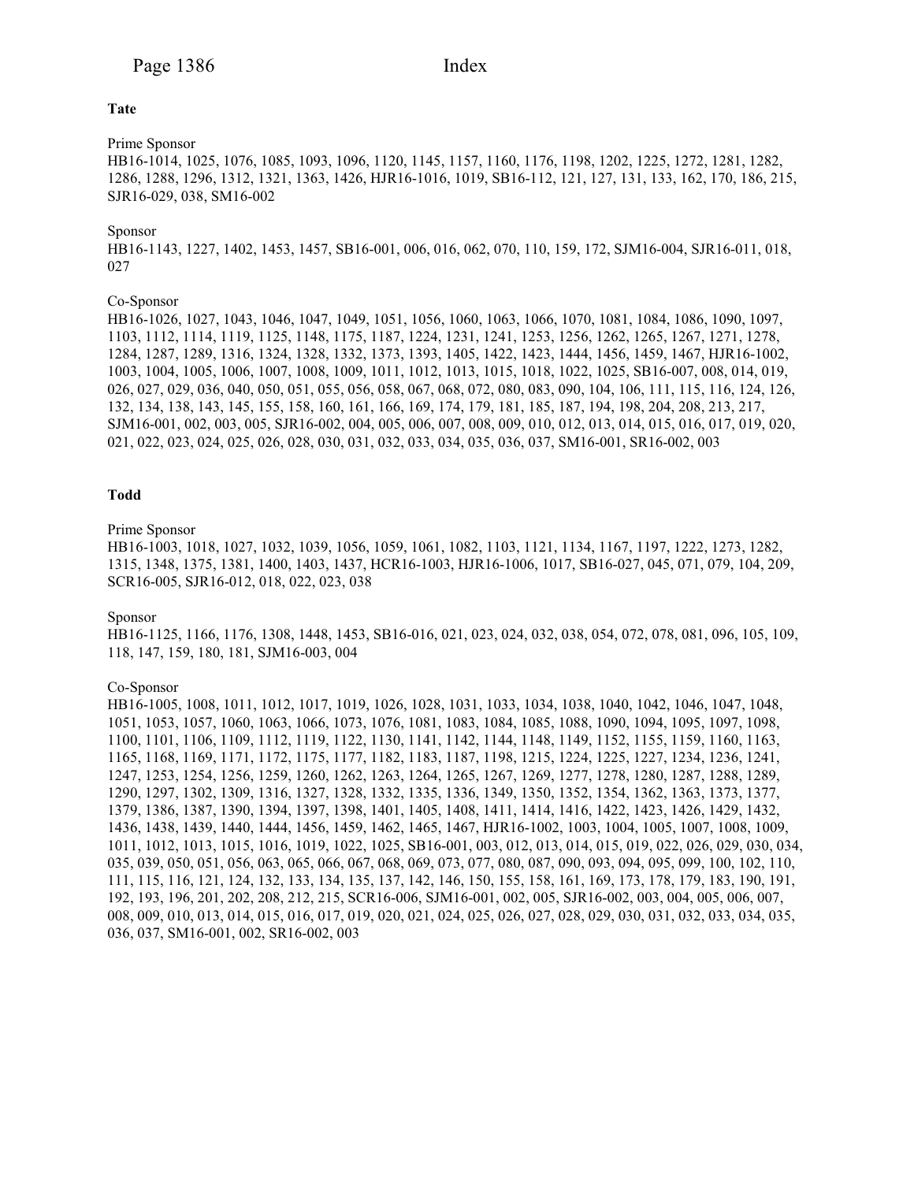## **Tate**

## Prime Sponsor

HB16-1014, 1025, 1076, 1085, 1093, 1096, 1120, 1145, 1157, 1160, 1176, 1198, 1202, 1225, 1272, 1281, 1282, 1286, 1288, 1296, 1312, 1321, 1363, 1426, HJR16-1016, 1019, SB16-112, 121, 127, 131, 133, 162, 170, 186, 215, SJR16-029, 038, SM16-002

## Sponsor

HB16-1143, 1227, 1402, 1453, 1457, SB16-001, 006, 016, 062, 070, 110, 159, 172, SJM16-004, SJR16-011, 018, 027

## Co-Sponsor

HB16-1026, 1027, 1043, 1046, 1047, 1049, 1051, 1056, 1060, 1063, 1066, 1070, 1081, 1084, 1086, 1090, 1097, 1103, 1112, 1114, 1119, 1125, 1148, 1175, 1187, 1224, 1231, 1241, 1253, 1256, 1262, 1265, 1267, 1271, 1278, 1284, 1287, 1289, 1316, 1324, 1328, 1332, 1373, 1393, 1405, 1422, 1423, 1444, 1456, 1459, 1467, HJR16-1002, 1003, 1004, 1005, 1006, 1007, 1008, 1009, 1011, 1012, 1013, 1015, 1018, 1022, 1025, SB16-007, 008, 014, 019, 026, 027, 029, 036, 040, 050, 051, 055, 056, 058, 067, 068, 072, 080, 083, 090, 104, 106, 111, 115, 116, 124, 126, 132, 134, 138, 143, 145, 155, 158, 160, 161, 166, 169, 174, 179, 181, 185, 187, 194, 198, 204, 208, 213, 217, SJM16-001, 002, 003, 005, SJR16-002, 004, 005, 006, 007, 008, 009, 010, 012, 013, 014, 015, 016, 017, 019, 020, 021, 022, 023, 024, 025, 026, 028, 030, 031, 032, 033, 034, 035, 036, 037, SM16-001, SR16-002, 003

## **Todd**

## Prime Sponsor

HB16-1003, 1018, 1027, 1032, 1039, 1056, 1059, 1061, 1082, 1103, 1121, 1134, 1167, 1197, 1222, 1273, 1282, 1315, 1348, 1375, 1381, 1400, 1403, 1437, HCR16-1003, HJR16-1006, 1017, SB16-027, 045, 071, 079, 104, 209, SCR16-005, SJR16-012, 018, 022, 023, 038

## Sponsor

HB16-1125, 1166, 1176, 1308, 1448, 1453, SB16-016, 021, 023, 024, 032, 038, 054, 072, 078, 081, 096, 105, 109, 118, 147, 159, 180, 181, SJM16-003, 004

#### Co-Sponsor

HB16-1005, 1008, 1011, 1012, 1017, 1019, 1026, 1028, 1031, 1033, 1034, 1038, 1040, 1042, 1046, 1047, 1048, 1051, 1053, 1057, 1060, 1063, 1066, 1073, 1076, 1081, 1083, 1084, 1085, 1088, 1090, 1094, 1095, 1097, 1098, 1100, 1101, 1106, 1109, 1112, 1119, 1122, 1130, 1141, 1142, 1144, 1148, 1149, 1152, 1155, 1159, 1160, 1163, 1165, 1168, 1169, 1171, 1172, 1175, 1177, 1182, 1183, 1187, 1198, 1215, 1224, 1225, 1227, 1234, 1236, 1241, 1247, 1253, 1254, 1256, 1259, 1260, 1262, 1263, 1264, 1265, 1267, 1269, 1277, 1278, 1280, 1287, 1288, 1289, 1290, 1297, 1302, 1309, 1316, 1327, 1328, 1332, 1335, 1336, 1349, 1350, 1352, 1354, 1362, 1363, 1373, 1377, 1379, 1386, 1387, 1390, 1394, 1397, 1398, 1401, 1405, 1408, 1411, 1414, 1416, 1422, 1423, 1426, 1429, 1432, 1436, 1438, 1439, 1440, 1444, 1456, 1459, 1462, 1465, 1467, HJR16-1002, 1003, 1004, 1005, 1007, 1008, 1009, 1011, 1012, 1013, 1015, 1016, 1019, 1022, 1025, SB16-001, 003, 012, 013, 014, 015, 019, 022, 026, 029, 030, 034, 035, 039, 050, 051, 056, 063, 065, 066, 067, 068, 069, 073, 077, 080, 087, 090, 093, 094, 095, 099, 100, 102, 110, 111, 115, 116, 121, 124, 132, 133, 134, 135, 137, 142, 146, 150, 155, 158, 161, 169, 173, 178, 179, 183, 190, 191, 192, 193, 196, 201, 202, 208, 212, 215, SCR16-006, SJM16-001, 002, 005, SJR16-002, 003, 004, 005, 006, 007, 008, 009, 010, 013, 014, 015, 016, 017, 019, 020, 021, 024, 025, 026, 027, 028, 029, 030, 031, 032, 033, 034, 035, 036, 037, SM16-001, 002, SR16-002, 003